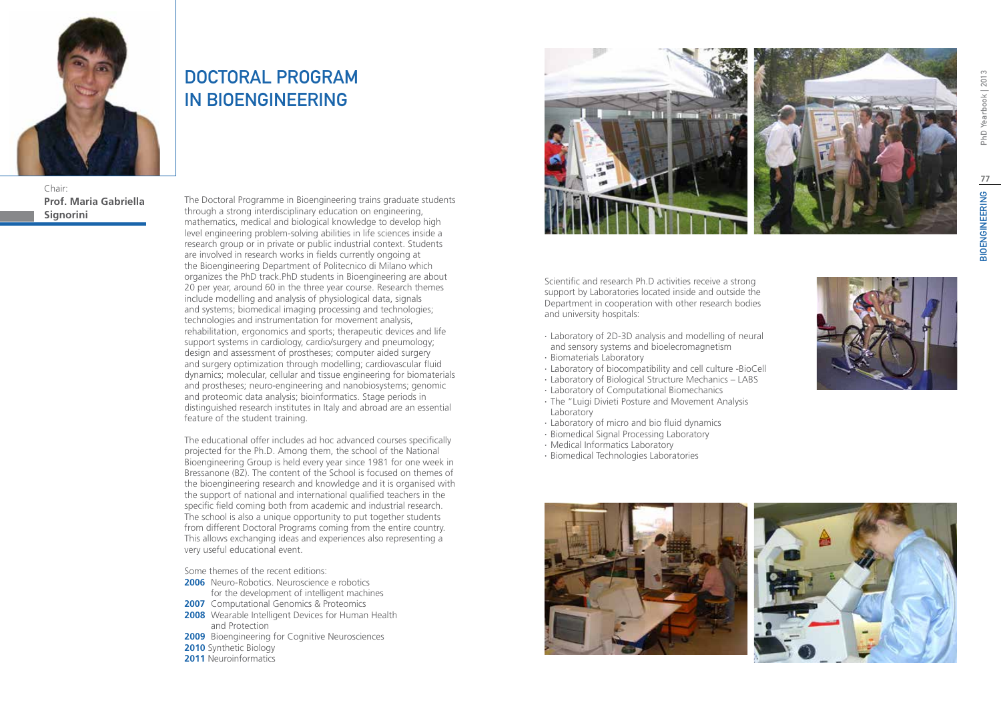

Chair: **Prof. Maria Gabriella Signorini**

## DOCTORAL PROGRAM IN BIOENGINEERING

The Doctoral Programme in Bioengineering trains graduate students through a strong interdisciplinary education on engineering, mathematics, medical and biological knowledge to develop high level engineering problem-solving abilities in life sciences inside a research group or in private or public industrial context. Students are involved in research works in fields currently ongoing at the Bioengineering Department of Politecnico di Milano which organizes the PhD track.PhD students in Bioengineering are about 20 per year, around 60 in the three year course. Research themes include modelling and analysis of physiological data, signals and systems; biomedical imaging processing and technologies; technologies and instrumentation for movement analysis, rehabilitation, ergonomics and sports; therapeutic devices and life support systems in cardiology, cardio/surgery and pneumology; design and assessment of prostheses; computer aided surgery and surgery optimization through modelling; cardiovascular fluid dynamics; molecular, cellular and tissue engineering for biomaterials and prostheses; neuro-engineering and nanobiosystems; genomic and proteomic data analysis; bioinformatics. Stage periods in distinguished research institutes in Italy and abroad are an essential feature of the student training.

The educational offer includes ad hoc advanced courses specifically projected for the Ph.D. Among them, the school of the National Bioengineering Group is held every year since 1981 for one week in Bressanone (BZ). The content of the School is focused on themes of the bioengineering research and knowledge and it is organised with the support of national and international qualified teachers in the specific field coming both from academic and industrial research. The school is also a unique opportunity to put together students from different Doctoral Programs coming from the entire country. This allows exchanging ideas and experiences also representing a very useful educational event.

Some themes of the recent editions:

- **2006** Neuro-Robotics. Neuroscience e robotics for the development of intelligent machines
- **2007** Computational Genomics & Proteomics
- **2008** Wearable Intelligent Devices for Human Health and Protection
- **2009** Bioengineering for Cognitive Neurosciences
- **2010** Synthetic Biology
- **2011** Neuroinformatics



Scientific and research Ph.D activities receive a strong support by Laboratories located inside and outside the Department in cooperation with other research bodies and university hospitals:

- ∙ Laboratory of 2D-3D analysis and modelling of neural and sensory systems and bioelecromagnetism
- ∙ Biomaterials Laboratory
- ∙ Laboratory of biocompatibility and cell culture -BioCell
- ∙ Laboratory of Biological Structure Mechanics LABS
- ∙ Laboratory of Computational Biomechanics
- ∙ The "Luigi Divieti Posture and Movement Analysis Laboratory
- ∙ Laboratory of micro and bio fluid dynamics
- ∙ Biomedical Signal Processing Laboratory
- ∙ Medical Informatics Laboratory
- ∙ Biomedical Technologies Laboratories



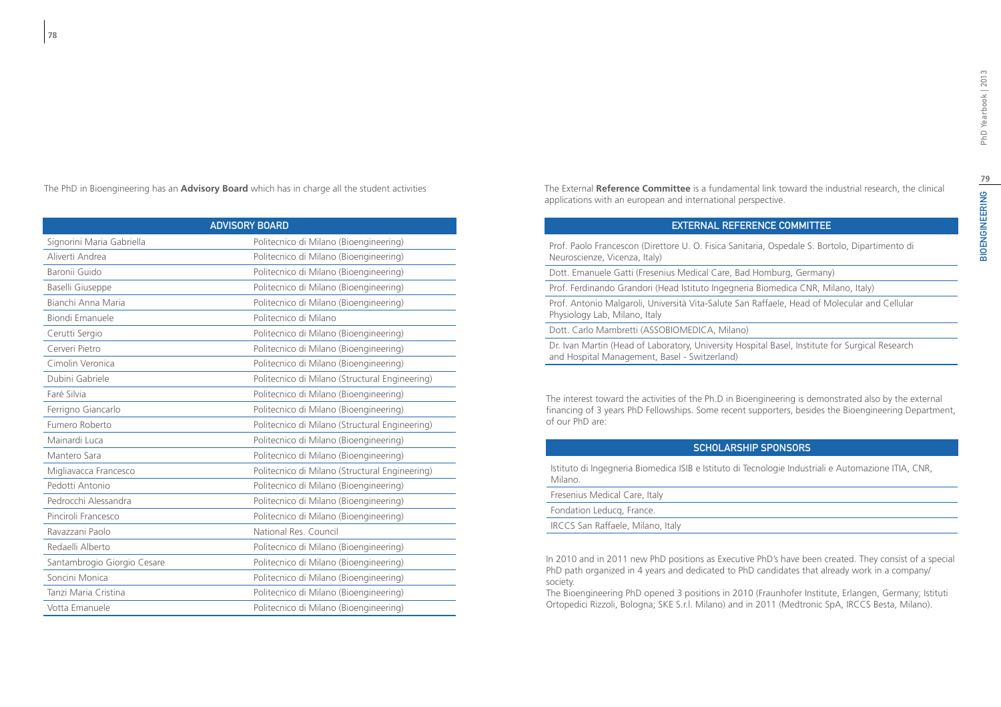The PhD in Bioengineering has an **Advisory Board** which has in charge all the student activities

| <b>ADVISORY BOARD</b>       |                                                |
|-----------------------------|------------------------------------------------|
| Signorini Maria Gabriella   | Politecnico di Milano (Bioengineering)         |
| Aliverti Andrea             | Politecnico di Milano (Bioengineering)         |
| Baronii Guido               | Politecnico di Milano (Bioengineering)         |
| Baselli Giuseppe            | Politecnico di Milano (Bioengineering)         |
| Bianchi Anna Maria          | Politecnico di Milano (Bioengineering)         |
| Biondi Emanuele             | Politecnico di Milano                          |
| Cerutti Sergio              | Politecnico di Milano (Bioengineering)         |
| Cerveri Pietro              | Politecnico di Milano (Bioengineering)         |
| Cimolin Veronica            | Politecnico di Milano (Bioengineering)         |
| Dubini Gabriele             | Politecnico di Milano (Structural Engineering) |
| Faré Silvia                 | Politecnico di Milano (Bioengineering)         |
| Ferrigno Giancarlo          | Politecnico di Milano (Bioengineering)         |
| Fumero Roberto              | Politecnico di Milano (Structural Engineering) |
| Mainardi Luca               | Politecnico di Milano (Bioengineering)         |
| Mantero Sara                | Politecnico di Milano (Bioengineering)         |
| Migliavacca Francesco       | Politecnico di Milano (Structural Engineering) |
| Pedotti Antonio             | Politecnico di Milano (Bioengineering)         |
| Pedrocchi Alessandra        | Politecnico di Milano (Bioengineering)         |
| Pinciroli Francesco         | Politecnico di Milano (Bioengineering)         |
| Ravazzani Paolo             | National Res. Council                          |
| Redaelli Alberto            | Politecnico di Milano (Bioengineering)         |
| Santambrogio Giorgio Cesare | Politecnico di Milano (Bioengineering)         |
| Soncini Monica              | Politecnico di Milano (Bioengineering)         |
| Tanzi Maria Cristina        | Politecnico di Milano (Bioengineering)         |
| Votta Emanuele              | Politecnico di Milano (Bioengineering)         |

The External **Reference Committee** is a fundamental link toward the industrial research, the clinical applications with an european and international perspective.

### External Reference Committee

Prof. Paolo Francescon (Direttore U. O. Fisica Sanitaria, Ospedale S. Bortolo, Dipartimento di Neuroscienze, Vicenza, Italy)

Dott. Emanuele Gatti (Fresenius Medical Care, Bad Homburg, Germany)

Prof. Ferdinando Grandori (Head Istituto Ingegneria Biomedica CNR, Milano, Italy)

Prof. Antonio Malgaroli, Università Vita-Salute San Raffaele, Head of Molecular and Cellular Physiology Lab, Milano, Italy

Dott. Carlo Mambretti (ASSOBIOMEDICA, Milano)

Dr. Ivan Martin (Head of Laboratory, University Hospital Basel, Institute for Surgical Research and Hospital Management, Basel - Switzerland)

The interest toward the activities of the Ph.D in Bioengineering is demonstrated also by the external financing of 3 years PhD Fellowships. Some recent supporters, besides the Bioengineering Department, of our PhD are:

#### Scholarship Sponsors

Istituto di Ingegneria Biomedica ISIB e Istituto di Tecnologie Industriali e Automazione ITIA, CNR, Milano.

Fresenius Medical Care, Italy Fondation Leducq, France. IRCCS San Raffaele, Milano, Italy

In 2010 and in 2011 new PhD positions as Executive PhD's have been created. They consist of a special PhD path organized in 4 years and dedicated to PhD candidates that already work in a company/ society.

The Bioengineering PhD opened 3 positions in 2010 (Fraunhofer Institute, Erlangen, Germany; Istituti Ortopedici Rizzoli, Bologna; SKE S.r.l. Milano) and in 2011 (Medtronic SpA, IRCCS Besta, Milano).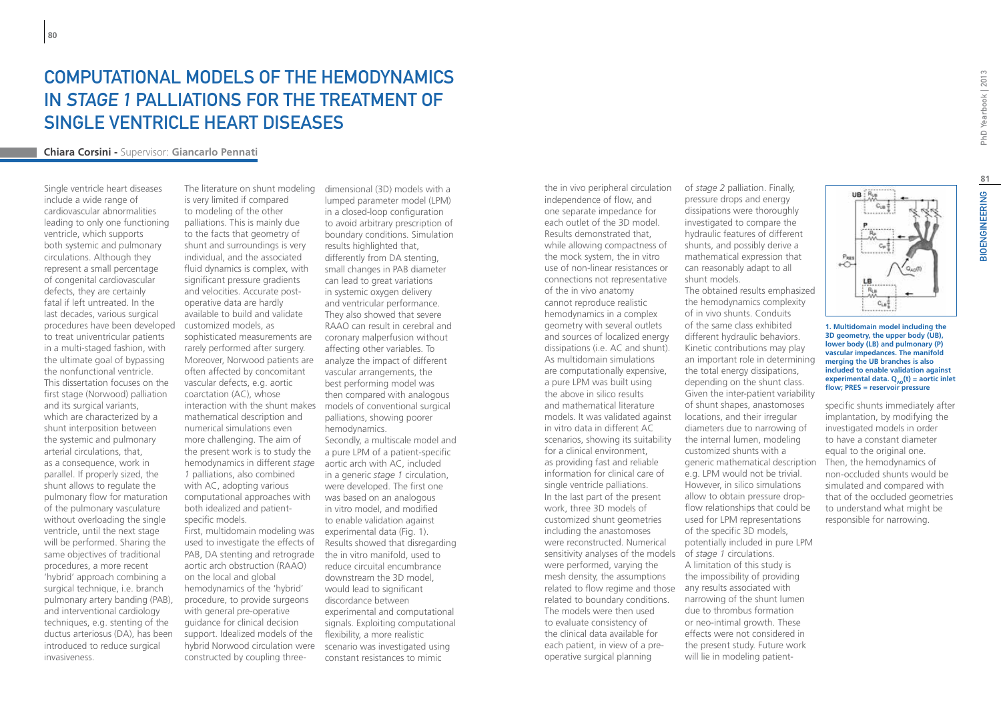## COMPUTATIONAL MODELS OF THE HEMODYNAMICS IN STAGE 1 PALLIATIONS FOR THE TREATMENT OF SINGLE VENTRICLE HEART DISEASES

#### **Chiara Corsini -** Supervisor: **Giancarlo Pennati**

Single ventricle heart diseases include a wide range of cardiovascular abnormalities leading to only one functioning ventricle, which supports both systemic and pulmonary circulations. Although they represent a small percentage of congenital cardiovascular defects, they are certainly fatal if left untreated. In the last decades, various surgical procedures have been developed to treat univentricular patients in a multi-staged fashion, with the ultimate goal of bypassing the nonfunctional ventricle. This dissertation focuses on the first stage (Norwood) palliation and its surgical variants, which are characterized by a shunt interposition between the systemic and pulmonary arterial circulations, that, as a consequence, work in parallel. If properly sized, the shunt allows to regulate the pulmonary flow for maturation of the pulmonary vasculature without overloading the single ventricle, until the next stage will be performed. Sharing the same objectives of traditional procedures, a more recent 'hybrid' approach combining a surgical technique, i.e. branch pulmonary artery banding (PAB), and interventional cardiology techniques, e.g. stenting of the ductus arteriosus (DA), has been introduced to reduce surgical invasiveness.

The literature on shunt modeling is very limited if compared to modeling of the other palliations. This is mainly due to the facts that geometry of shunt and surroundings is very individual, and the associated fluid dynamics is complex, with significant pressure gradients and velocities. Accurate postoperative data are hardly available to build and validate customized models, as sophisticated measurements are rarely performed after surgery. Moreover, Norwood patients are often affected by concomitant vascular defects, e.g. aortic coarctation (AC), whose interaction with the shunt makes mathematical description and numerical simulations even more challenging. The aim of the present work is to study the hemodynamics in different *stage 1* palliations, also combined with AC, adopting various computational approaches with both idealized and patientspecific models. First, multidomain modeling was experimental data (Fig. 1). used to investigate the effects of PAB, DA stenting and retrograde aortic arch obstruction (RAAO) on the local and global hemodynamics of the 'hybrid' procedure, to provide surgeons with general pre-operative guidance for clinical decision support. Idealized models of the hybrid Norwood circulation were constructed by coupling three-

dimensional (3D) models with a lumped parameter model (LPM) in a closed-loop configuration to avoid arbitrary prescription of boundary conditions. Simulation results highlighted that, differently from DA stenting, small changes in PAB diameter can lead to great variations in systemic oxygen delivery and ventricular performance. They also showed that severe RAAO can result in cerebral and coronary malperfusion without affecting other variables. To analyze the impact of different vascular arrangements, the best performing model was then compared with analogous models of conventional surgical palliations, showing poorer hemodynamics. Secondly, a multiscale model and a pure LPM of a patient-specific aortic arch with AC, included in a generic *stage 1* circulation, were developed. The first one was based on an analogous in vitro model, and modified to enable validation against Results showed that disregarding the in vitro manifold, used to reduce circuital encumbrance downstream the 3D model, would lead to significant discordance between experimental and computational signals. Exploiting computational flexibility, a more realistic scenario was investigated using constant resistances to mimic

sensitivity analyses of the models of *stage 1* circulations. related to flow regime and those any results associated with the in vivo peripheral circulation independence of flow, and one separate impedance for each outlet of the 3D model. Results demonstrated that, while allowing compactness of the mock system, the in vitro use of non-linear resistances or connections not representative of the in vivo anatomy cannot reproduce realistic hemodynamics in a complex geometry with several outlets and sources of localized energy dissipations (i.e. AC and shunt). As multidomain simulations are computationally expensive, a pure LPM was built using the above in silico results and mathematical literature models. It was validated against in vitro data in different AC scenarios, showing its suitability for a clinical environment, as providing fast and reliable information for clinical care of single ventricle palliations. In the last part of the present work, three 3D models of customized shunt geometries including the anastomoses were reconstructed. Numerical were performed, varying the mesh density, the assumptions related to boundary conditions. The models were then used to evaluate consistency of the clinical data available for each patient, in view of a preoperative surgical planning

of *stage 2* palliation. Finally, pressure drops and energy dissipations were thoroughly investigated to compare the hydraulic features of different shunts, and possibly derive a mathematical expression that can reasonably adapt to all shunt models.

The obtained results emphasized the hemodynamics complexity of in vivo shunts. Conduits of the same class exhibited different hydraulic behaviors. Kinetic contributions may play an important role in determining the total energy dissipations, depending on the shunt class. Given the inter-patient variability of shunt shapes, anastomoses locations, and their irregular diameters due to narrowing of the internal lumen, modeling customized shunts with a generic mathematical description e.g. LPM would not be trivial. However, in silico simulations allow to obtain pressure dropflow relationships that could be used for LPM representations of the specific 3D models, potentially included in pure LPM A limitation of this study is the impossibility of providing narrowing of the shunt lumen due to thrombus formation or neo-intimal growth. These effects were not considered in the present study. Future work will lie in modeling patient-



#### **1. Multidomain model including the 3D geometry, the upper body (UB), lower body (LB) and pulmonary (P) vascular impedances. The manifold merging the UB branches is also included to enable validation against experimental data. Q<sub>10</sub>(t) = aortic inlet flow; PRES = reservoir pressure**

specific shunts immediately after implantation, by modifying the investigated models in order to have a constant diameter equal to the original one. Then, the hemodynamics of non-occluded shunts would be simulated and compared with that of the occluded geometries to understand what might be responsible for narrowing.

PhD Yearbook | 2013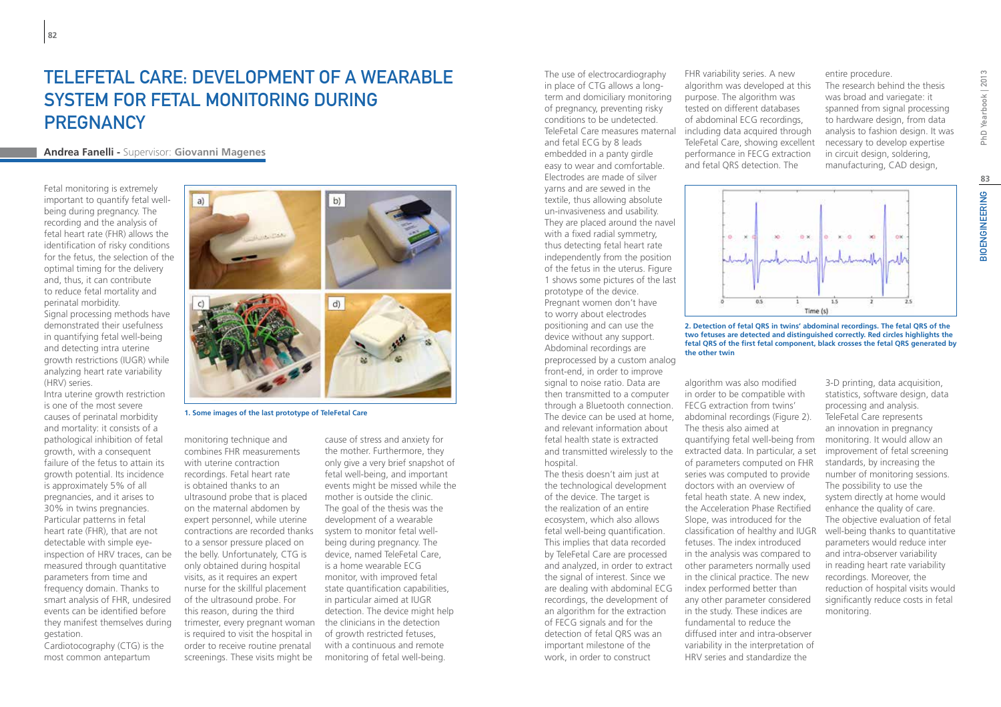## TELEFETAL CARE: DEVELOPMENT OF A WEARABLE SYSTEM FOR FETAL MONITORING DURING **PREGNANCY**

### **Andrea Fanelli -** Supervisor: **Giovanni Magenes**

Fetal monitoring is extremely important to quantify fetal wellbeing during pregnancy. The recording and the analysis of fetal heart rate (FHR) allows the identification of risky conditions for the fetus, the selection of the optimal timing for the delivery and, thus, it can contribute to reduce fetal mortality and perinatal morbidity. Signal processing methods have demonstrated their usefulness in quantifying fetal well-being and detecting intra uterine growth restrictions (IUGR) while analyzing heart rate variability (HRV) series.

Intra uterine growth restriction is one of the most severe causes of perinatal morbidity and mortality: it consists of a pathological inhibition of fetal growth, with a consequent failure of the fetus to attain its growth potential. Its incidence is approximately 5% of all pregnancies, and it arises to 30% in twins pregnancies. Particular patterns in fetal heart rate (FHR), that are not detectable with simple eyeinspection of HRV traces, can be measured through quantitative parameters from time and frequency domain. Thanks to smart analysis of FHR, undesired events can be identified before they manifest themselves during gestation.

Cardiotocography (CTG) is the most common antepartum



**1. Some images of the last prototype of TeleFetal Care**

monitoring technique and combines FHR measurements with uterine contraction recordings. Fetal heart rate is obtained thanks to an ultrasound probe that is placed on the maternal abdomen by expert personnel, while uterine contractions are recorded thanks to a sensor pressure placed on the belly. Unfortunately, CTG is only obtained during hospital visits, as it requires an expert nurse for the skillful placement of the ultrasound probe. For this reason, during the third trimester, every pregnant woman is required to visit the hospital in order to receive routine prenatal screenings. These visits might be

cause of stress and anxiety for the mother. Furthermore, they only give a very brief snapshot of fetal well-being, and important events might be missed while the mother is outside the clinic. The goal of the thesis was the development of a wearable system to monitor fetal wellbeing during pregnancy. The device, named TeleFetal Care, is a home wearable ECG monitor, with improved fetal state quantification capabilities, in particular aimed at IUGR detection. The device might help the clinicians in the detection of growth restricted fetuses, with a continuous and remote monitoring of fetal well-being.

The use of electrocardiography in place of CTG allows a longterm and domiciliary monitoring of pregnancy, preventing risky conditions to be undetected. TeleFetal Care measures maternal and fetal ECG by 8 leads embedded in a panty girdle easy to wear and comfortable. Electrodes are made of silver yarns and are sewed in the textile, thus allowing absolute un-invasiveness and usability. They are placed around the navel with a fixed radial symmetry, thus detecting fetal heart rate independently from the position of the fetus in the uterus. Figure 1 shows some pictures of the last prototype of the device. Pregnant women don't have to worry about electrodes positioning and can use the device without any support. Abdominal recordings are preprocessed by a custom analog front-end, in order to improve signal to noise ratio. Data are then transmitted to a computer through a Bluetooth connection. The device can be used at home, abdominal recordings (Figure 2). and relevant information about fetal health state is extracted

hospital. The thesis doesn't aim just at the technological development of the device. The target is the realization of an entire ecosystem, which also allows fetal well-being quantification. This implies that data recorded by TeleFetal Care are processed and analyzed, in order to extract the signal of interest. Since we are dealing with abdominal ECG recordings, the development of an algorithm for the extraction of FECG signals and for the detection of fetal QRS was an important milestone of the work, in order to construct

FHR variability series. A new algorithm was developed at this purpose. The algorithm was tested on different databases of abdominal ECG recordings, including data acquired through TeleFetal Care, showing excellent performance in FECG extraction and fetal QRS detection. The

entire procedure.

The research behind the thesis was broad and variegate: it spanned from signal processing to hardware design, from data analysis to fashion design. It was necessary to develop expertise in circuit design, soldering, manufacturing, CAD design,



**2. Detection of fetal QRS in twins' abdominal recordings. The fetal QRS of the two fetuses are detected and distinguished correctly. Red circles highlights the fetal QRS of the first fetal component, black crosses the fetal QRS generated by the other twin**

and transmitted wirelessly to the extracted data. In particular, a set algorithm was also modified in order to be compatible with FECG extraction from twins' The thesis also aimed at quantifying fetal well-being from of parameters computed on FHR series was computed to provide doctors with an overview of fetal heath state. A new index, the Acceleration Phase Rectified Slope, was introduced for the classification of healthy and IUGR fetuses. The index introduced in the analysis was compared to other parameters normally used in the clinical practice. The new index performed better than any other parameter considered in the study. These indices are fundamental to reduce the diffused inter and intra-observer variability in the interpretation of HRV series and standardize the

3-D printing, data acquisition, statistics, software design, data processing and analysis. TeleFetal Care represents an innovation in pregnancy monitoring. It would allow an improvement of fetal screening standards, by increasing the number of monitoring sessions. The possibility to use the system directly at home would enhance the quality of care. The objective evaluation of fetal well-being thanks to quantitative parameters would reduce inter and intra-observer variability in reading heart rate variability recordings. Moreover, the reduction of hospital visits would significantly reduce costs in fetal monitoring.

**BIOENGINEERING**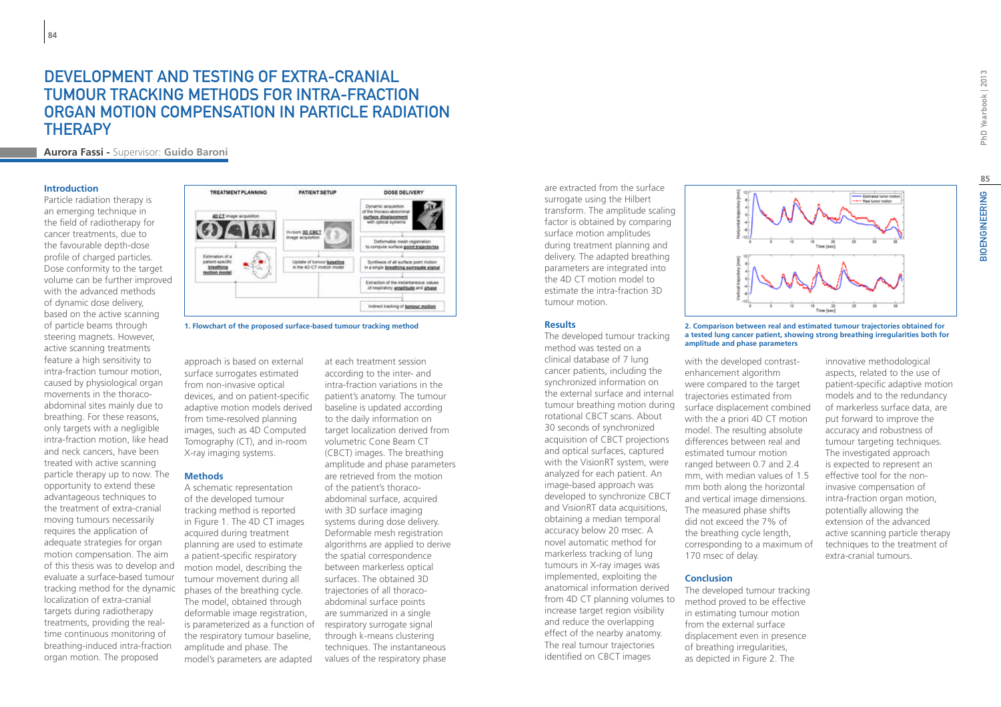### Development and testing of extra-cranial tumour tracking methods for intra-fraction organ motion compensation in particle radiation **THERAPY**

**Aurora Fassi -** Supervisor: **Guido Baroni**

#### **Introduction**

Particle radiation therapy is an emerging technique in the field of radiotherapy for cancer treatments, due to the favourable depth-dose profile of charged particles. Dose conformity to the target volume can be further improved with the advanced methods of dynamic dose delivery, based on the active scanning of particle beams through steering magnets. However, active scanning treatments feature a high sensitivity to intra-fraction tumour motion, caused by physiological organ movements in the thoracoabdominal sites mainly due to breathing. For these reasons, only targets with a negligible intra-fraction motion, like head and neck cancers, have been treated with active scanning particle therapy up to now. The opportunity to extend these advantageous techniques to the treatment of extra-cranial moving tumours necessarily requires the application of adequate strategies for organ motion compensation. The aim of this thesis was to develop and evaluate a surface-based tumour tracking method for the dynamic localization of extra-cranial targets during radiotherapy treatments, providing the realtime continuous monitoring of breathing-induced intra-fraction organ motion. The proposed



**1. Flowchart of the proposed surface-based tumour tracking method**

approach is based on external surface surrogates estimated from non-invasive optical devices, and on patient-specific adaptive motion models derived from time-resolved planning images, such as 4D Computed Tomography (CT), and in-room X-ray imaging systems.

#### **Methods**

A schematic representation of the developed tumour tracking method is reported in Figure 1. The 4D CT images acquired during treatment planning are used to estimate a patient-specific respiratory motion model, describing the tumour movement during all phases of the breathing cycle. The model, obtained through deformable image registration, is parameterized as a function of the respiratory tumour baseline, amplitude and phase. The model's parameters are adapted

at each treatment session according to the inter- and intra-fraction variations in the patient's anatomy. The tumour baseline is updated according to the daily information on target localization derived from volumetric Cone Beam CT (CBCT) images. The breathing amplitude and phase parameters are retrieved from the motion of the patient's thoracoabdominal surface, acquired with 3D surface imaging systems during dose delivery. Deformable mesh registration algorithms are applied to derive the spatial correspondence between markerless optical surfaces. The obtained 3D trajectories of all thoracoabdominal surface points are summarized in a single respiratory surrogate signal through k-means clustering techniques. The instantaneous values of the respiratory phase

are extracted from the surface surrogate using the Hilbert transform. The amplitude scaling factor is obtained by comparing surface motion amplitudes during treatment planning and delivery. The adapted breathing parameters are integrated into the 4D CT motion model to estimate the intra-fraction 3D tumour motion.

#### **Results**

The developed tumour tracking method was tested on a clinical database of 7 lung cancer patients, including the synchronized information on the external surface and internal tumour breathing motion during rotational CBCT scans. About 30 seconds of synchronized acquisition of CBCT projections and optical surfaces, captured with the VisionRT system, were analyzed for each patient. An image-based approach was developed to synchronize CBCT and VisionRT data acquisitions, obtaining a median temporal accuracy below 20 msec. A novel automatic method for markerless tracking of lung tumours in X-ray images was implemented, exploiting the anatomical information derived from 4D CT planning volumes to increase target region visibility and reduce the overlapping effect of the nearby anatomy. The real tumour trajectories identified on CBCT images



**2. Comparison between real and estimated tumour trajectories obtained for a tested lung cancer patient, showing strong breathing irregularities both for amplitude and phase parameters**

with the developed contrastenhancement algorithm were compared to the target trajectories estimated from surface displacement combined with the a priori 4D CT motion model. The resulting absolute differences between real and estimated tumour motion ranged between 0.7 and 2.4 mm, with median values of 1.5 mm both along the horizontal and vertical image dimensions. The measured phase shifts did not exceed the 7% of the breathing cycle length, corresponding to a maximum of 170 msec of delay.

#### **Conclusion**

The developed tumour tracking method proved to be effective in estimating tumour motion from the external surface displacement even in presence of breathing irregularities, as depicted in Figure 2. The

innovative methodological aspects, related to the use of patient-specific adaptive motion models and to the redundancy of markerless surface data, are put forward to improve the accuracy and robustness of tumour targeting techniques. The investigated approach is expected to represent an effective tool for the noninvasive compensation of intra-fraction organ motion, potentially allowing the extension of the advanced active scanning particle therapy techniques to the treatment of extra-cranial tumours.

**85**<br>IOENGINEERING

 $\overline{m}$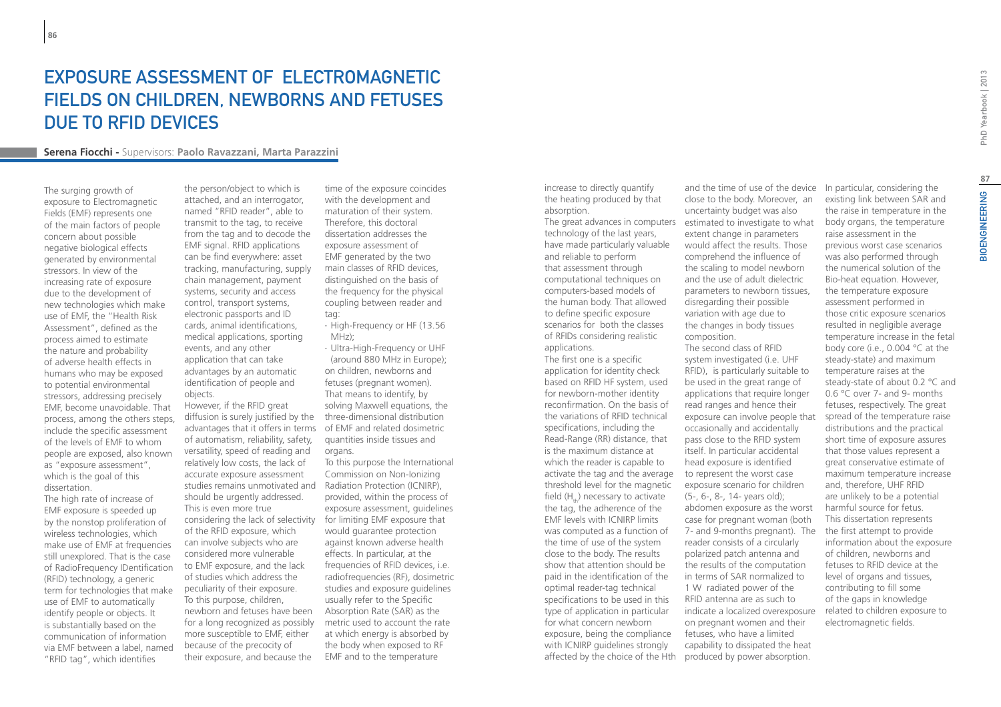## Exposure Assessment of Electromagnetic Fields on children, newborns and fetuses due to RFID devices

#### **Serena Fiocchi -** Supervisors: **Paolo Ravazzani, Marta Parazzini**

The surging growth of exposure to Electromagnetic Fields (EMF) represents one of the main factors of people concern about possible negative biological effects generated by environmental stressors. In view of the increasing rate of exposure due to the development of new technologies which make use of EMF, the "Health Risk Assessment", defined as the process aimed to estimate the nature and probability of adverse health effects in humans who may be exposed to potential environmental stressors, addressing precisely EMF, become unavoidable. That process, among the others steps, include the specific assessment of the levels of EMF to whom people are exposed, also known as "exposure assessment", which is the goal of this dissertation.

The high rate of increase of EMF exposure is speeded up by the nonstop proliferation of wireless technologies, which make use of EMF at frequencies still unexplored. That is the case of RadioFrequency IDentification (RFID) technology, a generic term for technologies that make use of EMF to automatically identify people or objects. It is substantially based on the communication of information via EMF between a label, named "RFID tag", which identifies

the person/object to which is attached, and an interrogator, named "RFID reader", able to transmit to the tag, to receive from the tag and to decode the EMF signal. RFID applications can be find everywhere: asset tracking, manufacturing, supply chain management, payment systems, security and access control, transport systems, electronic passports and ID cards, animal identifications, medical applications, sporting events, and any other application that can take advantages by an automatic identification of people and objects.

However, if the RFID great diffusion is surely justified by the advantages that it offers in terms of EMF and related dosimetric of automatism, reliability, safety, versatility, speed of reading and relatively low costs, the lack of accurate exposure assessment studies remains unmotivated and Radiation Protection (ICNIRP), should be urgently addressed. This is even more true considering the lack of selectivity of the RFID exposure, which can involve subjects who are considered more vulnerable to EMF exposure, and the lack of studies which address the peculiarity of their exposure. To this purpose, children, newborn and fetuses have been for a long recognized as possibly more susceptible to EMF, either because of the precocity of their exposure, and because the

time of the exposure coincides with the development and maturation of their system. Therefore, this doctoral dissertation addresses the exposure assessment of EMF generated by the two main classes of RFID devices, distinguished on the basis of the frequency for the physical coupling between reader and tag:

- ∙ High-Frequency or HF (13.56 MHz);
- ∙ Ultra-High-Frequency or UHF (around 880 MHz in Europe); on children, newborns and fetuses (pregnant women). That means to identify, by solving Maxwell equations, the three-dimensional distribution quantities inside tissues and organs.

To this purpose the International Commission on Non-Ionizing provided, within the process of exposure assessment, guidelines for limiting EMF exposure that would guarantee protection against known adverse health effects. In particular, at the frequencies of RFID devices, i.e. radiofrequencies (RF), dosimetric studies and exposure guidelines usually refer to the Specific Absorption Rate (SAR) as the metric used to account the rate at which energy is absorbed by the body when exposed to RF EMF and to the temperature

increase to directly quantify the heating produced by that absorption.

technology of the last years, have made particularly valuable and reliable to perform that assessment through computational techniques on computers-based models of the human body. That allowed to define specific exposure scenarios for both the classes of RFIDs considering realistic applications.

The first one is a specific application for identity check based on RFID HF system, used for newborn-mother identity reconfirmation. On the basis of the variations of RFID technical specifications, including the Read-Range (RR) distance, that is the maximum distance at which the reader is capable to activate the tag and the average threshold level for the magnetic field  $(H_u)$  necessary to activate the tag, the adherence of the EMF levels with ICNIRP limits was computed as a function of the time of use of the system close to the body. The results show that attention should be paid in the identification of the optimal reader-tag technical specifications to be used in this type of application in particular for what concern newborn exposure, being the compliance with ICNIRP guidelines strongly affected by the choice of the Hth

The great advances in computers estimated to investigate to what and the time of use of the device In particular, considering the close to the body. Moreover, an uncertainty budget was also extent change in parameters would affect the results. Those comprehend the influence of the scaling to model newborn and the use of adult dielectric parameters to newborn tissues, disregarding their possible variation with age due to the changes in body tissues composition. The second class of RFID system investigated (i.e. UHF RFID), is particularly suitable to be used in the great range of applications that require longer read ranges and hence their exposure can involve people that occasionally and accidentally pass close to the RFID system itself. In particular accidental head exposure is identified to represent the worst case exposure scenario for children (5-, 6-, 8-, 14- years old); abdomen exposure as the worst case for pregnant woman (both 7- and 9-months pregnant). The reader consists of a circularly polarized patch antenna and the results of the computation 1 W radiated power of the

in terms of SAR normalized to RFID antenna are as such to indicate a localized overexposure on pregnant women and their fetuses, who have a limited capability to dissipated the heat produced by power absorption.

existing link between SAR and the raise in temperature in the body organs, the temperature raise assessment in the previous worst case scenarios was also performed through the numerical solution of the Bio-heat equation. However, the temperature exposure assessment performed in those critic exposure scenarios resulted in negligible average temperature increase in the fetal body core (i.e., 0.004 °C at the steady-state) and maximum temperature raises at the steady-state of about 0.2 °C and 0.6 °C over 7- and 9- months fetuses, respectively. The great spread of the temperature raise distributions and the practical short time of exposure assures that those values represent a great conservative estimate of maximum temperature increase and, therefore, UHF RFID are unlikely to be a potential harmful source for fetus. This dissertation represents the first attempt to provide information about the exposure of children, newborns and fetuses to RFID device at the level of organs and tissues, contributing to fill some of the gaps in knowledge related to children exposure to electromagnetic fields.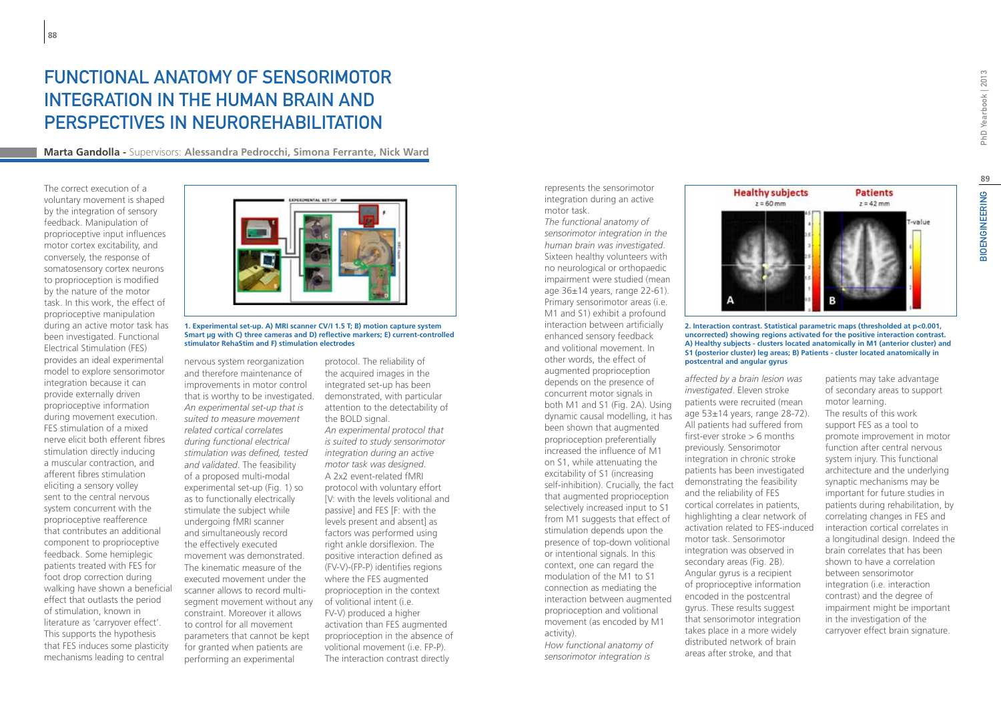## Functional anatomy of sensorimotor integration in the human brain and perspectives in neurorehabilitation

**Marta Gandolla -** Supervisors: **Alessandra Pedrocchi, Simona Ferrante, Nick Ward**

The correct execution of a voluntary movement is shaped by the integration of sensory feedback. Manipulation of proprioceptive input influences motor cortex excitability, and conversely, the response of somatosensory cortex neurons to proprioception is modified by the nature of the motor task. In this work, the effect of proprioceptive manipulation during an active motor task has been investigated. Functional Electrical Stimulation (FES) provides an ideal experimental model to explore sensorimotor integration because it can provide externally driven proprioceptive information during movement execution. FES stimulation of a mixed nerve elicit both efferent fibres stimulation directly inducing a muscular contraction, and afferent fibres stimulation eliciting a sensory volley sent to the central nervous system concurrent with the proprioceptive reafference that contributes an additional component to proprioceptive feedback. Some hemiplegic patients treated with FES for foot drop correction during walking have shown a beneficial effect that outlasts the period of stimulation, known in literature as 'carryover effect'. This supports the hypothesis that FES induces some plasticity mechanisms leading to central



**1. Experimental set-up. A) MRI scanner CV/I 1.5 T; B) motion capture system Smart μg with C) three cameras and D) reflective markers; E) current-controlled stimulator RehaStim and F) stimulation electrodes**

nervous system reorganization and therefore maintenance of improvements in motor control that is worthy to be investigated. *An experimental set-up that is suited to measure movement related cortical correlates during functional electrical stimulation was defined, tested and validated*. The feasibility of a proposed multi-modal experimental set-up (Fig. 1) so as to functionally electrically stimulate the subject while undergoing fMRI scanner and simultaneously record the effectively executed movement was demonstrated. The kinematic measure of the executed movement under the scanner allows to record multisegment movement without any constraint. Moreover it allows to control for all movement parameters that cannot be kept for granted when patients are performing an experimental

protocol. The reliability of the acquired images in the integrated set-up has been demonstrated, with particular attention to the detectability of the BOLD signal. *An experimental protocol that is suited to study sensorimotor integration during an active motor task was designed*. A 2x2 event-related fMRI protocol with voluntary effort [V: with the levels volitional and passive] and FES [F: with the levels present and absent] as factors was performed using right ankle dorsiflexion. The positive interaction defined as (FV-V)-(FP-P) identifies regions where the FES augmented proprioception in the context of volitional intent (i.e. FV-V) produced a higher activation than FES augmented proprioception in the absence of volitional movement (i.e. FP-P). The interaction contrast directly

represents the sensorimotor integration during an active motor task.

*The functional anatomy of sensorimotor integration in the human brain was investigated*. Sixteen healthy volunteers with no neurological or orthopaedic impairment were studied (mean age 36±14 years, range 22-61). Primary sensorimotor areas (i.e. M1 and S1) exhibit a profound interaction between artificially enhanced sensory feedback and volitional movement. In other words, the effect of augmented proprioception depends on the presence of concurrent motor signals in both M1 and S1 (Fig. 2A). Using dynamic causal modelling, it has been shown that augmented proprioception preferentially increased the influence of M1 on S1, while attenuating the excitability of S1 (increasing self-inhibition). Crucially, the fact that augmented proprioception selectively increased input to S1 from M1 suggests that effect of stimulation depends upon the presence of top-down volitional or intentional signals. In this context, one can regard the modulation of the M1 to S1 connection as mediating the interaction between augmented proprioception and volitional movement (as encoded by M1 activity).

*How functional anatomy of sensorimotor integration is* 

**Healthy subjects Patients**  $z = 60$  mm  $z = 42$  mm -value

**2. Interaction contrast. Statistical parametric maps (thresholded at p<0.001, uncorrected) showing regions activated for the positive interaction contrast. A) Healthy subjects - clusters located anatomically in M1 (anterior cluster) and S1 (posterior cluster) leg areas; B) Patients - cluster located anatomically in postcentral and angular gyrus**

*affected by a brain lesion was investigated*. Eleven stroke patients were recruited (mean age 53±14 years, range 28-72). All patients had suffered from first-ever stroke > 6 months previously. Sensorimotor integration in chronic stroke patients has been investigated demonstrating the feasibility and the reliability of FES cortical correlates in patients, highlighting a clear network of activation related to FES-induced motor task. Sensorimotor integration was observed in secondary areas (Fig. 2B). Angular gyrus is a recipient of proprioceptive information encoded in the postcentral gyrus. These results suggest that sensorimotor integration takes place in a more widely distributed network of brain areas after stroke, and that

patients may take advantage of secondary areas to support motor learning. The results of this work support FES as a tool to promote improvement in motor function after central nervous system injury. This functional architecture and the underlying synaptic mechanisms may be important for future studies in patients during rehabilitation, by correlating changes in FES and interaction cortical correlates in a longitudinal design. Indeed the brain correlates that has been shown to have a correlation between sensorimotor integration (i.e. interaction contrast) and the degree of impairment might be important in the investigation of the carryover effect brain signature.

PhD Yearbook | 2013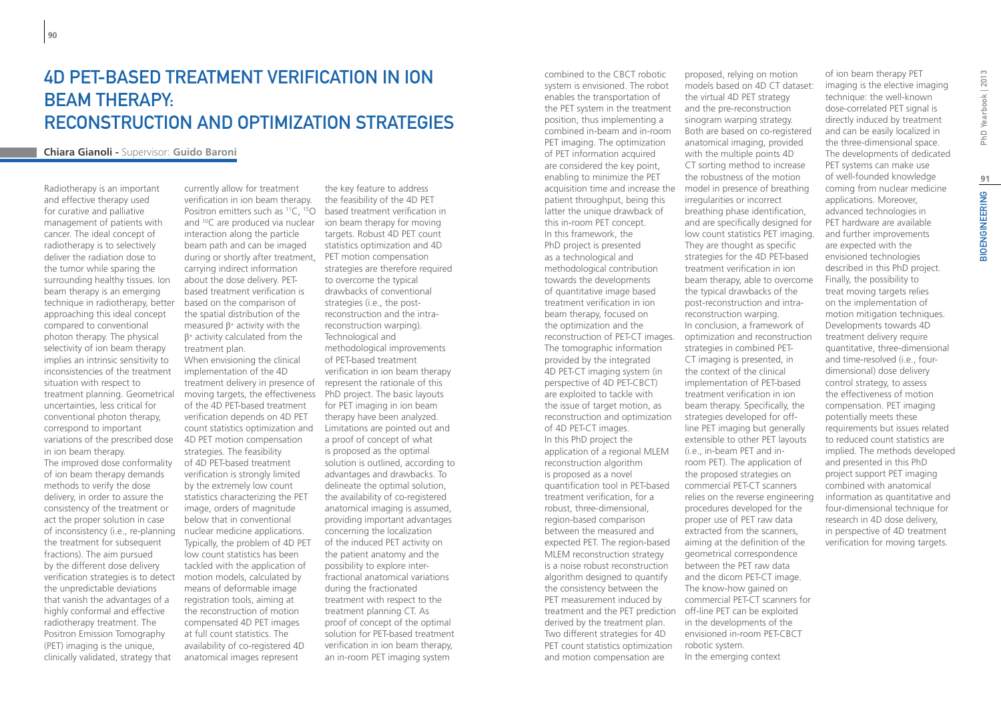## 4D PET-BASED TREATMENT VERIFICATION IN ION BEAM THERAPY: RECONSTRUCTION AND OPTIMIZATION STRATEGIES

### **Chiara Gianoli -** Supervisor: **Guido Baroni**

Radiotherapy is an important and effective therapy used for curative and palliative management of patients with cancer. The ideal concept of radiotherapy is to selectively deliver the radiation dose to the tumor while sparing the surrounding healthy tissues. Ion beam therapy is an emerging technique in radiotherapy, better approaching this ideal concept compared to conventional photon therapy. The physical selectivity of ion beam therapy implies an intrinsic sensitivity to inconsistencies of the treatment situation with respect to treatment planning. Geometrical uncertainties, less critical for conventional photon therapy, correspond to important variations of the prescribed dose in ion beam therapy. The improved dose conformality of ion beam therapy demands methods to verify the dose delivery, in order to assure the consistency of the treatment or act the proper solution in case of inconsistency (i.e., re-planning the treatment for subsequent fractions). The aim pursued by the different dose delivery verification strategies is to detect the unpredictable deviations that vanish the advantages of a highly conformal and effective radiotherapy treatment. The Positron Emission Tomography (PET) imaging is the unique, clinically validated, strategy that

currently allow for treatment verification in ion beam therapy. Positron emitters such as <sup>11</sup>C, <sup>15</sup>O based treatment verification in and  ${}^{10}C$  are produced via nuclear ion beam therapy for moving interaction along the particle beam path and can be imaged during or shortly after treatment, PET motion compensation carrying indirect information about the dose delivery. PETbased treatment verification is based on the comparison of the spatial distribution of the measured  $\beta$ <sup>+</sup> activity with the  $β<sup>+</sup>$  activity calculated from the treatment plan. When envisioning the clinical implementation of the 4D treatment delivery in presence of represent the rationale of this moving targets, the effectiveness PhD project. The basic layouts of the 4D PET-based treatment verification depends on 4D PET count statistics optimization and 4D PET motion compensation strategies. The feasibility of 4D PET-based treatment verification is strongly limited by the extremely low count statistics characterizing the PET image, orders of magnitude below that in conventional nuclear medicine applications. Typically, the problem of 4D PET low count statistics has been tackled with the application of motion models, calculated by means of deformable image registration tools, aiming at the reconstruction of motion compensated 4D PET images at full count statistics. The availability of co-registered 4D anatomical images represent

the key feature to address the feasibility of the 4D PET targets. Robust 4D PET count statistics optimization and 4D strategies are therefore required to overcome the typical drawbacks of conventional strategies (i.e., the postreconstruction and the intrareconstruction warping). Technological and methodological improvements of PET-based treatment verification in ion beam therapy for PET imaging in ion beam therapy have been analyzed. Limitations are pointed out and a proof of concept of what is proposed as the optimal solution is outlined, according to advantages and drawbacks. To delineate the optimal solution, the availability of co-registered anatomical imaging is assumed, providing important advantages concerning the localization of the induced PET activity on the patient anatomy and the possibility to explore interfractional anatomical variations during the fractionated treatment with respect to the treatment planning CT. As proof of concept of the optimal solution for PET-based treatment verification in ion beam therapy, an in-room PET imaging system

combined to the CBCT robotic system is envisioned. The robot enables the transportation of the PET system in the treatment position, thus implementing a combined in-beam and in-room PET imaging. The optimization of PET information acquired are considered the key point, enabling to minimize the PET acquisition time and increase the patient throughput, being this latter the unique drawback of this in-room PET concept. In this framework, the PhD project is presented as a technological and methodological contribution towards the developments of quantitative image based treatment verification in ion beam therapy, focused on the optimization and the reconstruction of PET-CT images. The tomographic information provided by the integrated 4D PET-CT imaging system (in perspective of 4D PET-CBCT) are exploited to tackle with the issue of target motion, as reconstruction and optimization of 4D PET-CT images. In this PhD project the application of a regional MLEM reconstruction algorithm is proposed as a novel quantification tool in PET-based treatment verification, for a robust, three-dimensional, region-based comparison between the measured and expected PET. The region-based MLEM reconstruction strategy is a noise robust reconstruction algorithm designed to quantify the consistency between the PET measurement induced by treatment and the PET prediction off-line PET can be exploited derived by the treatment plan. Two different strategies for 4D PET count statistics optimization and motion compensation are

proposed, relying on motion models based on 4D CT dataset: the virtual 4D PET strategy and the pre-reconstruction sinogram warping strategy. Both are based on co-registered anatomical imaging, provided with the multiple points 4D CT sorting method to increase the robustness of the motion model in presence of breathing irregularities or incorrect breathing phase identification, and are specifically designed for low count statistics PET imaging. They are thought as specific strategies for the 4D PET-based treatment verification in ion beam therapy, able to overcome the typical drawbacks of the post-reconstruction and intrareconstruction warping. In conclusion, a framework of optimization and reconstruction strategies in combined PET-CT imaging is presented, in the context of the clinical implementation of PET-based treatment verification in ion beam therapy. Specifically, the strategies developed for offline PET imaging but generally extensible to other PET layouts (i.e., in-beam PET and inroom PET). The application of the proposed strategies on commercial PET-CT scanners relies on the reverse engineering procedures developed for the proper use of PET raw data extracted from the scanners, aiming at the definition of the geometrical correspondence between the PET raw data and the dicom PET-CT image. The know-how gained on commercial PET-CT scanners for in the developments of the envisioned in-room PET-CBCT robotic system. In the emerging context

of ion beam therapy PET imaging is the elective imaging technique: the well-known dose-correlated PET signal is directly induced by treatment and can be easily localized in the three-dimensional space. The developments of dedicated PET systems can make use of well-founded knowledge coming from nuclear medicine applications. Moreover, advanced technologies in PET hardware are available and further improvements are expected with the envisioned technologies described in this PhD project. Finally, the possibility to treat moving targets relies on the implementation of motion mitigation techniques. Developments towards 4D treatment delivery require quantitative, three-dimensional and time-resolved (i.e., fourdimensional) dose delivery control strategy, to assess the effectiveness of motion compensation. PET imaging potentially meets these requirements but issues related to reduced count statistics are implied. The methods developed and presented in this PhD project support PET imaging combined with anatomical information as quantitative and four-dimensional technique for research in 4D dose delivery, in perspective of 4D treatment verification for moving targets.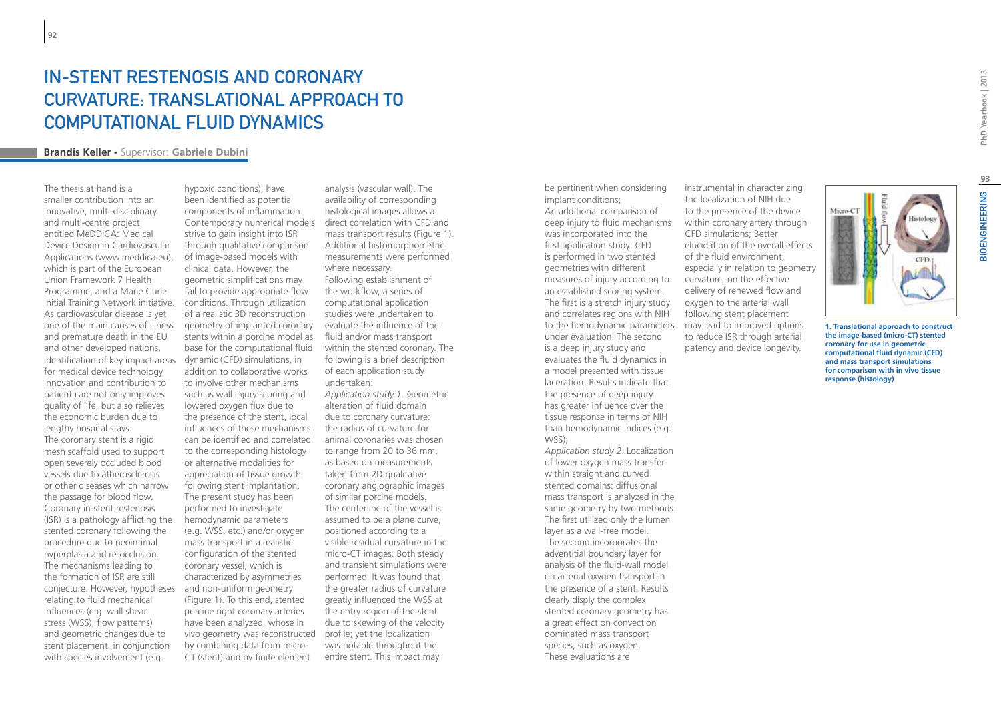## In-stent restenosis and coronary curvature: Translational approach to computational fluid dynamics

#### **Brandis Keller -** Supervisor: **Gabriele Dubini**

The thesis at hand is a smaller contribution into an innovative, multi-disciplinary and multi-centre project entitled MeDDiCA: Medical Device Design in Cardiovascular Applications (www.meddica.eu), which is part of the European Union Framework 7 Health Programme, and a Marie Curie Initial Training Network initiative. As cardiovascular disease is yet one of the main causes of illness and premature death in the EU and other developed nations, identification of key impact areas for medical device technology innovation and contribution to patient care not only improves quality of life, but also relieves the economic burden due to lengthy hospital stays. The coronary stent is a rigid

mesh scaffold used to support open severely occluded blood vessels due to atherosclerosis or other diseases which narrow the passage for blood flow. Coronary in-stent restenosis (ISR) is a pathology afflicting the stented coronary following the procedure due to neointimal hyperplasia and re-occlusion. The mechanisms leading to the formation of ISR are still conjecture. However, hypotheses and non-uniform geometry relating to fluid mechanical influences (e.g. wall shear stress (WSS), flow patterns) and geometric changes due to stent placement, in conjunction with species involvement (e.g.

hypoxic conditions), have been identified as potential components of inflammation. Contemporary numerical models strive to gain insight into ISR through qualitative comparison of image-based models with clinical data. However, the geometric simplifications may fail to provide appropriate flow conditions. Through utilization of a realistic 3D reconstruction geometry of implanted coronary evaluate the influence of the stents within a porcine model as base for the computational fluid dynamic (CFD) simulations, in addition to collaborative works to involve other mechanisms such as wall injury scoring and lowered oxygen flux due to the presence of the stent, local influences of these mechanisms can be identified and correlated to the corresponding histology or alternative modalities for appreciation of tissue growth following stent implantation. The present study has been performed to investigate hemodynamic parameters (e.g. WSS, etc.) and/or oxygen mass transport in a realistic configuration of the stented coronary vessel, which is characterized by asymmetries (Figure 1). To this end, stented porcine right coronary arteries have been analyzed, whose in vivo geometry was reconstructed profile; yet the localization by combining data from micro-CT (stent) and by finite element

analysis (vascular wall). The availability of corresponding histological images allows a direct correlation with CFD and mass transport results (Figure 1). Additional histomorphometric measurements were performed where necessary. Following establishment of the workflow, a series of computational application studies were undertaken to fluid and/or mass transport within the stented coronary. The following is a brief description of each application study undertaken: *Application study 1*. Geometric

alteration of fluid domain due to coronary curvature: the radius of curvature for animal coronaries was chosen to range from 20 to 36 mm, as based on measurements taken from 2D qualitative coronary angiographic images of similar porcine models. The centerline of the vessel is assumed to be a plane curve, positioned according to a visible residual curvature in the micro-CT images. Both steady and transient simulations were performed. It was found that the greater radius of curvature greatly influenced the WSS at the entry region of the stent due to skewing of the velocity was notable throughout the entire stent. This impact may

be pertinent when considering implant conditions; An additional comparison of deep injury to fluid mechanisms was incorporated into the first application study: CFD is performed in two stented geometries with different measures of injury according to an established scoring system. The first is a stretch injury study and correlates regions with NIH to the hemodynamic parameters under evaluation. The second is a deep injury study and evaluates the fluid dynamics in a model presented with tissue laceration. Results indicate that the presence of deep injury has greater influence over the tissue response in terms of NIH than hemodynamic indices (e.g. WSS);

*Application study 2*. Localization of lower oxygen mass transfer within straight and curved stented domains: diffusional mass transport is analyzed in the same geometry by two methods. The first utilized only the lumen layer as a wall-free model. The second incorporates the adventitial boundary layer for analysis of the fluid-wall model on arterial oxygen transport in the presence of a stent. Results clearly disply the complex stented coronary geometry has a great effect on convection dominated mass transport species, such as oxygen. These evaluations are

instrumental in characterizing the localization of NIH due to the presence of the device within coronary artery through CFD simulations; Better elucidation of the overall effects of the fluid environment, especially in relation to geometry curvature, on the effective delivery of renewed flow and oxygen to the arterial wall following stent placement may lead to improved options to reduce ISR through arterial patency and device longevity.



**1. Translational approach to construct the image-based (micro-CT) stented coronary for use in geometric computational fluid dynamic (CFD) and mass transport simulations for comparison with in vivo tissue response (histology)**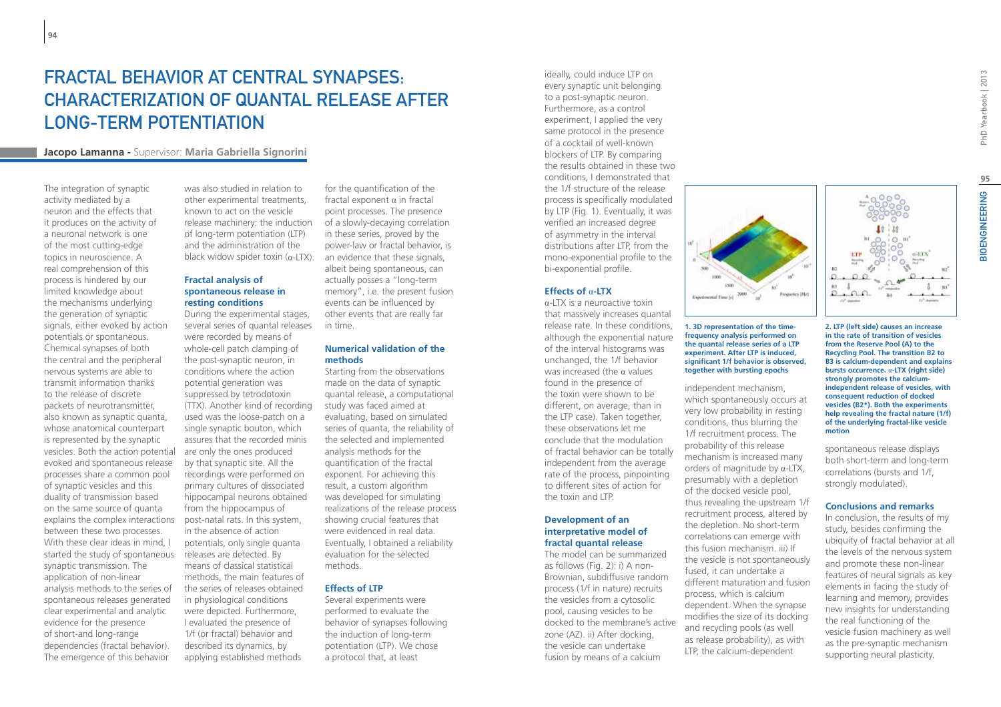## Fractal Behavior at Central Synapses: Characterization of Quantal Release after Long-Term Potentiation

### **Jacopo Lamanna -** Supervisor: **Maria Gabriella Signorini**

The integration of synaptic activity mediated by a neuron and the effects that it produces on the activity of a neuronal network is one of the most cutting-edge topics in neuroscience. A real comprehension of this process is hindered by our limited knowledge about the mechanisms underlying the generation of synaptic signals, either evoked by action potentials or spontaneous. Chemical synapses of both the central and the peripheral nervous systems are able to transmit information thanks to the release of discrete packets of neurotransmitter, also known as synaptic quanta, whose anatomical counterpart is represented by the synaptic vesicles. Both the action potential evoked and spontaneous release processes share a common pool of synaptic vesicles and this duality of transmission based on the same source of quanta explains the complex interactions between these two processes. With these clear ideas in mind, I started the study of spontaneous releases are detected. By synaptic transmission. The application of non-linear analysis methods to the series of spontaneous releases generated clear experimental and analytic evidence for the presence of short-and long-range dependencies (fractal behavior). The emergence of this behavior

was also studied in relation to other experimental treatments, known to act on the vesicle release machinery: the induction of long-term potentiation (LTP) and the administration of the black widow spider toxin  $(\alpha$ -LTX).

### **Fractal analysis of spontaneous release in resting conditions**

During the experimental stages, several series of quantal releases were recorded by means of whole-cell patch clamping of the post-synaptic neuron, in conditions where the action potential generation was suppressed by tetrodotoxin (TTX). Another kind of recording used was the loose-patch on a single synaptic bouton, which assures that the recorded minis are only the ones produced by that synaptic site. All the recordings were performed on primary cultures of dissociated hippocampal neurons obtained from the hippocampus of post-natal rats. In this system, in the absence of action potentials, only single quanta means of classical statistical methods, the main features of the series of releases obtained in physiological conditions were depicted. Furthermore, I evaluated the presence of 1/f (or fractal) behavior and described its dynamics, by applying established methods

for the quantification of the fractal exponent α in fractal point processes. The presence of a slowly-decaying correlation in these series, proved by the power-law or fractal behavior, is an evidence that these signals, albeit being spontaneous, can actually posses a "long-term memory", i.e. the present fusion events can be influenced by other events that are really far in time.

#### **Numerical validation of the methods**

Starting from the observations made on the data of synaptic quantal release, a computational study was faced aimed at evaluating, based on simulated series of quanta, the reliability of the selected and implemented analysis methods for the quantification of the fractal exponent. For achieving this result, a custom algorithm was developed for simulating realizations of the release process showing crucial features that were evidenced in real data. Eventually, I obtained a reliability evaluation for the selected methods.

#### **Effects of LTP**

Several experiments were performed to evaluate the behavior of synapses following the induction of long-term potentiation (LTP). We chose a protocol that, at least

ideally, could induce LTP on every synaptic unit belonging to a post-synaptic neuron. Furthermore, as a control experiment, I applied the very same protocol in the presence of a cocktail of well-known blockers of LTP. By comparing the results obtained in these two conditions, I demonstrated that the 1/f structure of the release process is specifically modulated by LTP (Fig. 1). Eventually, it was verified an increased degree of asymmetry in the interval distributions after LTP, from the mono-exponential profile to the bi-exponential profile.

#### **Effects of** α**-LTX**

α-LTX is a neuroactive toxin that massively increases quantal release rate. In these conditions, although the exponential nature of the interval histograms was unchanged, the 1/f behavior was increased (the  $\alpha$  values found in the presence of the toxin were shown to be different, on average, than in the LTP case). Taken together, these observations let me conclude that the modulation of fractal behavior can be totally independent from the average rate of the process, pinpointing to different sites of action for the toxin and LTP.

#### **Development of an interpretative model of fractal quantal release**

The model can be summarized as follows (Fig. 2): i) A non-Brownian, subdiffusive random process (1/f in nature) recruits the vesicles from a cytosolic pool, causing vesicles to be docked to the membrane's active zone (AZ). ii) After docking, the vesicle can undertake fusion by means of a calcium



#### **1. 3D representation of the timefrequency analysis performed on the quantal release series of a LTP experiment. After LTP is induced, significant 1/f behavior is observed, together with bursting epochs**

independent mechanism, which spontaneously occurs at very low probability in resting conditions, thus blurring the 1/f recruitment process. The probability of this release mechanism is increased many orders of magnitude by α-LTX, presumably with a depletion of the docked vesicle pool, thus revealing the upstream 1/f recruitment process, altered by the depletion. No short-term correlations can emerge with this fusion mechanism. iii) If the vesicle is not spontaneously fused, it can undertake a different maturation and fusion process, which is calcium dependent. When the synapse modifies the size of its docking and recycling pools (as well as release probability), as with LTP, the calcium-dependent

**IOENGINEERING** w.LTX  $\overline{m}$ ı.  $\overline{m}$ Ca<sup>2</sup> Annahun

**2. LTP (left side) causes an increase in the rate of transition of vesicles from the Reserve Pool (A) to the Recycling Pool. The transition B2 to B3 is calcium-dependent and explains bursts occurrence.** α**-LTX (right side) strongly promotes the calciumindependent release of vesicles, with consequent reduction of docked vesicles (B2\*). Both the experiments help revealing the fractal nature (1/f) of the underlying fractal-like vesicle motion**

 $0.0$ 

spontaneous release displays both short-term and long-term correlations (bursts and 1/f, strongly modulated).

#### **Conclusions and remarks**

In conclusion, the results of my study, besides confirming the ubiquity of fractal behavior at all the levels of the nervous system and promote these non-linear features of neural signals as key elements in facing the study of learning and memory, provides new insights for understanding the real functioning of the vesicle fusion machinery as well as the pre-synaptic mechanism supporting neural plasticity.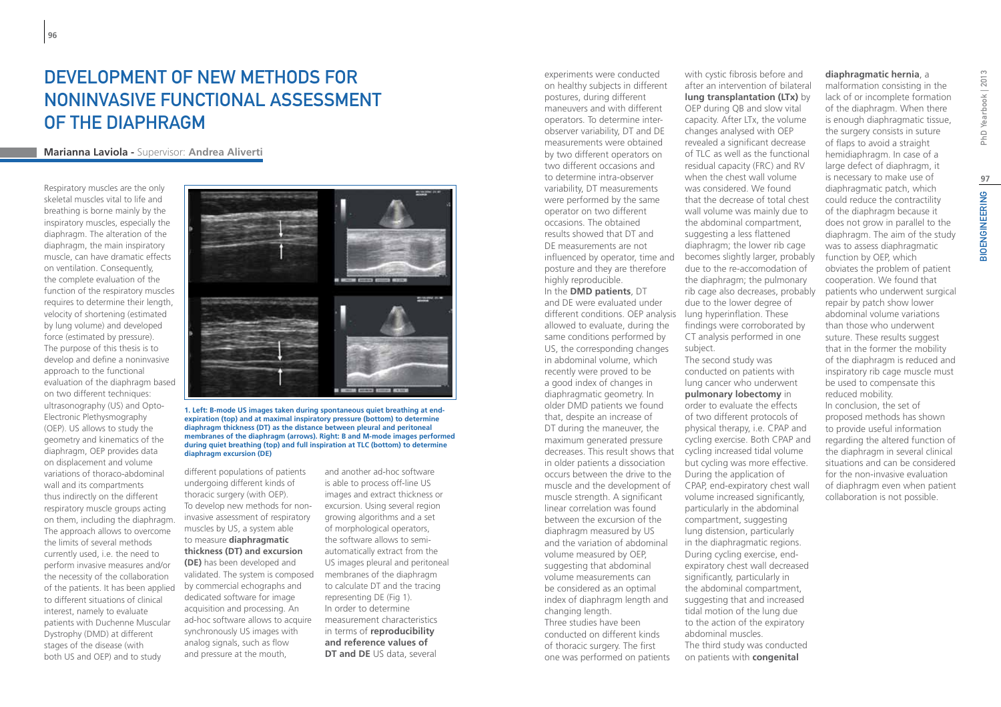## DEVELOPMENT OF NEW METHODS FOR noninvasive functional assessment of the diaphragm

#### **Marianna Laviola -** Supervisor: **Andrea Aliverti**

Respiratory muscles are the only skeletal muscles vital to life and breathing is borne mainly by the inspiratory muscles, especially the diaphragm. The alteration of the diaphragm, the main inspiratory muscle, can have dramatic effects on ventilation. Consequently, the complete evaluation of the function of the respiratory muscles requires to determine their length, velocity of shortening (estimated by lung volume) and developed force (estimated by pressure). The purpose of this thesis is to develop and define a noninvasive approach to the functional evaluation of the diaphragm based on two different techniques: ultrasonography (US) and Opto-Electronic Plethysmography (OEP). US allows to study the geometry and kinematics of the diaphragm, OEP provides data on displacement and volume variations of thoraco-abdominal wall and its compartments thus indirectly on the different respiratory muscle groups acting on them, including the diaphragm. The approach allows to overcome the limits of several methods currently used, i.e. the need to perform invasive measures and/or the necessity of the collaboration of the patients. It has been applied to different situations of clinical interest, namely to evaluate patients with Duchenne Muscular Dystrophy (DMD) at different stages of the disease (with both US and OEP) and to study



**1. Left: B-mode US images taken during spontaneous quiet breathing at endexpiration (top) and at maximal inspiratory pressure (bottom) to determine diaphragm thickness (DT) as the distance between pleural and peritoneal membranes of the diaphragm (arrows). Right: B and M-mode images performed during quiet breathing (top) and full inspiration at TLC (bottom) to determine diaphragm excursion (DE)**

different populations of patients undergoing different kinds of thoracic surgery (with OEP). To develop new methods for noninvasive assessment of respiratory muscles by US, a system able to measure **diaphragmatic thickness (DT) and excursion (DE)** has been developed and validated. The system is composed by commercial echographs and dedicated software for image acquisition and processing. An ad-hoc software allows to acquire synchronously US images with analog signals, such as flow and pressure at the mouth,

and another ad-hoc software is able to process off-line US images and extract thickness or excursion. Using several region growing algorithms and a set of morphological operators, the software allows to semiautomatically extract from the US images pleural and peritoneal membranes of the diaphragm to calculate DT and the tracing representing DE (Fig 1). In order to determine measurement characteristics in terms of **reproducibility and reference values of DT and DE** US data, several

experiments were conducted on healthy subjects in different postures, during different maneuvers and with different operators. To determine interobserver variability, DT and DE measurements were obtained by two different operators on two different occasions and to determine intra-observer variability, DT measurements were performed by the same operator on two different occasions. The obtained results showed that DT and DE measurements are not influenced by operator, time and posture and they are therefore highly reproducible.

In the **DMD patients**, DT and DE were evaluated under different conditions. OEP analysis lung hyperinflation. These allowed to evaluate, during the same conditions performed by US, the corresponding changes in abdominal volume, which recently were proved to be a good index of changes in diaphragmatic geometry. In older DMD patients we found that, despite an increase of DT during the maneuver, the maximum generated pressure decreases. This result shows that in older patients a dissociation occurs between the drive to the muscle and the development of muscle strength. A significant linear correlation was found between the excursion of the diaphragm measured by US and the variation of abdominal volume measured by OEP, suggesting that abdominal volume measurements can be considered as an optimal index of diaphragm length and changing length. Three studies have been conducted on different kinds of thoracic surgery. The first one was performed on patients

with cystic fibrosis before and after an intervention of bilateral **lung transplantation (LTx)** by OEP during QB and slow vital

capacity. After LTx, the volume changes analysed with OEP revealed a significant decrease of TLC as well as the functional residual capacity (FRC) and RV when the chest wall volume was considered. We found that the decrease of total chest wall volume was mainly due to the abdominal compartment, suggesting a less flattened diaphragm; the lower rib cage becomes slightly larger, probably due to the re-accomodation of the diaphragm; the pulmonary rib cage also decreases, probably due to the lower degree of findings were corroborated by CT analysis performed in one subject.

The second study was conducted on patients with lung cancer who underwent **pulmonary lobectomy** in order to evaluate the effects of two different protocols of physical therapy, i.e. CPAP and cycling exercise. Both CPAP and cycling increased tidal volume but cycling was more effective. During the application of CPAP, end-expiratory chest wall volume increased significantly, particularly in the abdominal compartment, suggesting lung distension, particularly in the diaphragmatic regions. During cycling exercise, endexpiratory chest wall decreased significantly, particularly in the abdominal compartment, suggesting that and increased tidal motion of the lung due to the action of the expiratory abdominal muscles. The third study was conducted on patients with **congenital** 

#### **diaphragmatic hernia**, a

malformation consisting in the lack of or incomplete formation of the diaphragm. When there is enough diaphragmatic tissue, the surgery consists in suture of flaps to avoid a straight hemidiaphragm. In case of a large defect of diaphragm, it is necessary to make use of diaphragmatic patch, which could reduce the contractility of the diaphragm because it does not grow in parallel to the diaphragm. The aim of the study was to assess diaphragmatic function by OEP, which obviates the problem of patient cooperation. We found that patients who underwent surgical repair by patch show lower abdominal volume variations than those who underwent suture. These results suggest that in the former the mobility of the diaphragm is reduced and inspiratory rib cage muscle must be used to compensate this reduced mobility. In conclusion, the set of proposed methods has shown to provide useful information regarding the altered function of the diaphragm in several clinical situations and can be considered for the non-invasive evaluation of diaphragm even when patient collaboration is not possible.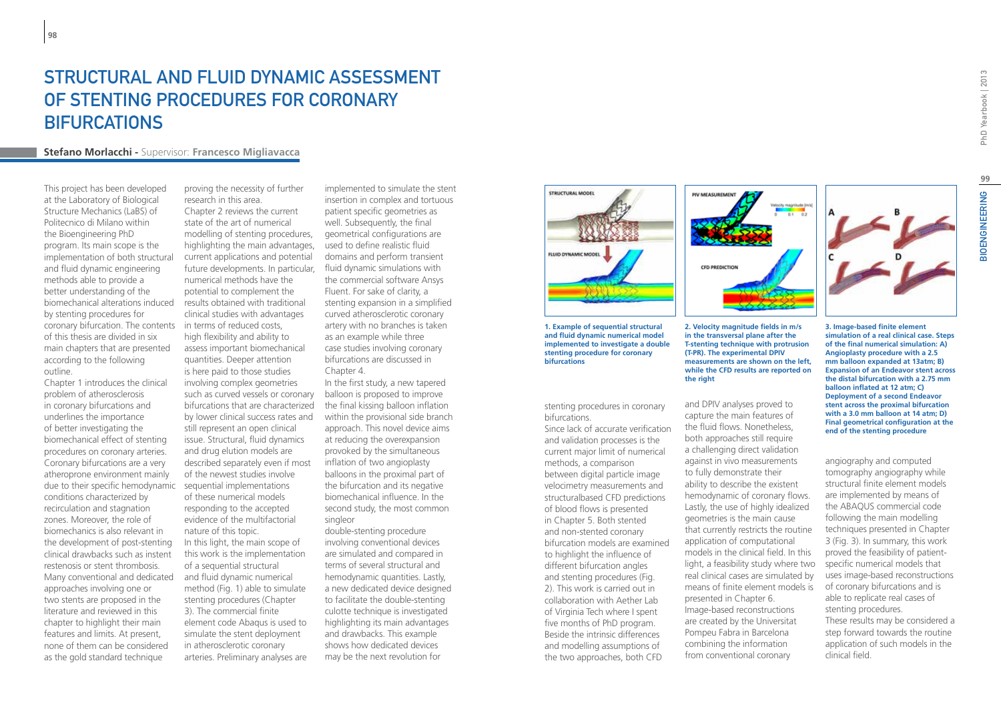## STRUCTURAL AND FLUID DYNAMIC ASSESSMENT of stenting procedures for coronary **BIFURCATIONS**

### **Stefano Morlacchi -** Supervisor: **Francesco Migliavacca**

This project has been developed at the Laboratory of Biological Structure Mechanics (LaBS) of Politecnico di Milano within the Bioengineering PhD program. Its main scope is the implementation of both structural and fluid dynamic engineering methods able to provide a better understanding of the biomechanical alterations induced by stenting procedures for coronary bifurcation. The contents of this thesis are divided in six main chapters that are presented according to the following outline.

Chapter 1 introduces the clinical problem of atherosclerosis in coronary bifurcations and underlines the importance of better investigating the biomechanical effect of stenting procedures on coronary arteries. Coronary bifurcations are a very atheroprone environment mainly due to their specific hemodynamic sequential implementations conditions characterized by recirculation and stagnation zones. Moreover, the role of biomechanics is also relevant in the development of post-stenting clinical drawbacks such as instent restenosis or stent thrombosis. Many conventional and dedicated approaches involving one or two stents are proposed in the literature and reviewed in this chapter to highlight their main features and limits. At present, none of them can be considered as the gold standard technique

research in this area. Chapter 2 reviews the current state of the art of numerical modelling of stenting procedures,

highlighting the main advantages,

proving the necessity of further

current applications and potential future developments. In particular, numerical methods have the potential to complement the results obtained with traditional clinical studies with advantages in terms of reduced costs, high flexibility and ability to assess important biomechanical quantities. Deeper attention is here paid to those studies involving complex geometries such as curved vessels or coronary bifurcations that are characterized by lower clinical success rates and still represent an open clinical issue. Structural, fluid dynamics and drug elution models are described separately even if most of the newest studies involve of these numerical models responding to the accepted evidence of the multifactorial nature of this topic. In this light, the main scope of this work is the implementation of a sequential structural and fluid dynamic numerical method (Fig. 1) able to simulate stenting procedures (Chapter 3). The commercial finite element code Abaqus is used to simulate the stent deployment in atherosclerotic coronary arteries. Preliminary analyses are

implemented to simulate the stent insertion in complex and tortuous patient specific geometries as well. Subsequently, the final geometrical configurations are used to define realistic fluid domains and perform transient fluid dynamic simulations with the commercial software Ansys Fluent. For sake of clarity, a stenting expansion in a simplified curved atherosclerotic coronary artery with no branches is taken as an example while three case studies involving coronary bifurcations are discussed in Chapter 4.

In the first study, a new tapered balloon is proposed to improve the final kissing balloon inflation within the provisional side branch approach. This novel device aims at reducing the overexpansion provoked by the simultaneous inflation of two angioplasty balloons in the proximal part of the bifurcation and its negative biomechanical influence. In the second study, the most common singleor

double-stenting procedure involving conventional devices are simulated and compared in terms of several structural and hemodynamic quantities. Lastly, a new dedicated device designed to facilitate the double-stenting culotte technique is investigated highlighting its main advantages and drawbacks. This example shows how dedicated devices may be the next revolution for



**1. Example of sequential structural and fluid dynamic numerical model implemented to investigate a double stenting procedure for coronary bifurcations**

stenting procedures in coronary bifurcations.

Since lack of accurate verification and validation processes is the current major limit of numerical methods, a comparison between digital particle image velocimetry measurements and structuralbased CFD predictions of blood flows is presented in Chapter 5. Both stented and non-stented coronary bifurcation models are examined to highlight the influence of different bifurcation angles and stenting procedures (Fig. 2). This work is carried out in collaboration with Aether Lab of Virginia Tech where I spent five months of PhD program. Beside the intrinsic differences and modelling assumptions of the two approaches, both CFD



**in the transversal plane after the T-stenting technique with protrusion (T-PR). The experimental DPIV measurements are shown on the left, while the CFD results are reported on the right**

and DPIV analyses proved to capture the main features of the fluid flows. Nonetheless, both approaches still require a challenging direct validation against in vivo measurements to fully demonstrate their ability to describe the existent hemodynamic of coronary flows. Lastly, the use of highly idealized geometries is the main cause that currently restricts the routine application of computational models in the clinical field. In this light, a feasibility study where two real clinical cases are simulated by means of finite element models is presented in Chapter 6. Image-based reconstructions are created by the Universitat Pompeu Fabra in Barcelona combining the information from conventional coronary

**3. Image-based finite element simulation of a real clinical case. Steps of the final numerical simulation: A) Angioplasty procedure with a 2.5 mm balloon expanded at 13atm; B) Expansion of an Endeavor stent across the distal bifurcation with a 2.75 mm balloon inflated at 12 atm; C) Deployment of a second Endeavor stent across the proximal bifurcation with a 3.0 mm balloon at 14 atm; D) Final geometrical configuration at the end of the stenting procedure**

angiography and computed tomography angiography while structural finite element models are implemented by means of the ABAQUS commercial code following the main modelling techniques presented in Chapter 3 (Fig. 3). In summary, this work proved the feasibility of patientspecific numerical models that uses image-based reconstructions of coronary bifurcations and is able to replicate real cases of stenting procedures. These results may be considered a step forward towards the routine application of such models in the clinical field.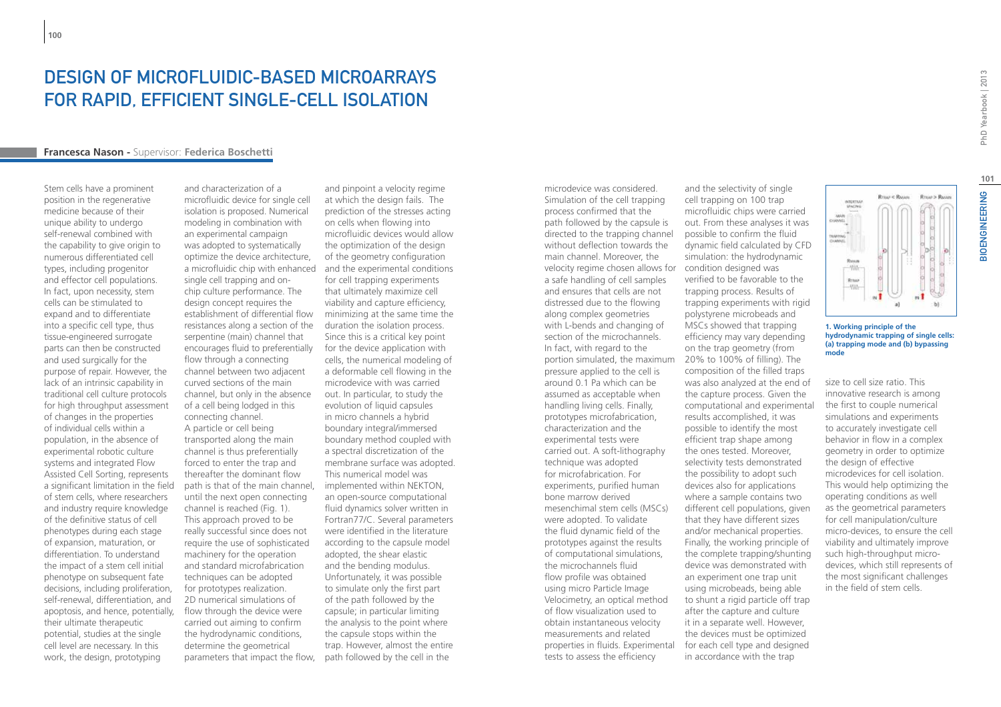### Design of microfluidic-based microarrays for rapid, efficient single-cell isolation

#### **Francesca Nason -** Supervisor: **Federica Boschetti**

Stem cells have a prominent position in the regenerative medicine because of their unique ability to undergo self-renewal combined with the capability to give origin to numerous differentiated cell types, including progenitor and effector cell populations. In fact, upon necessity, stem cells can be stimulated to expand and to differentiate into a specific cell type, thus tissue-engineered surrogate parts can then be constructed and used surgically for the purpose of repair. However, the lack of an intrinsic capability in traditional cell culture protocols for high throughput assessment of changes in the properties of individual cells within a population, in the absence of experimental robotic culture systems and integrated Flow Assisted Cell Sorting, represents a significant limitation in the field of stem cells, where researchers and industry require knowledge of the definitive status of cell phenotypes during each stage of expansion, maturation, or differentiation. To understand the impact of a stem cell initial phenotype on subsequent fate decisions, including proliferation, self-renewal, differentiation, and apoptosis, and hence, potentially, their ultimate therapeutic potential, studies at the single cell level are necessary. In this work, the design, prototyping

and characterization of a microfluidic device for single cell isolation is proposed. Numerical modeling in combination with an experimental campaign was adopted to systematically optimize the device architecture, single cell trapping and onchip culture performance. The design concept requires the resistances along a section of the serpentine (main) channel that encourages fluid to preferentially flow through a connecting channel between two adjacent curved sections of the main channel, but only in the absence of a cell being lodged in this connecting channel. A particle or cell being transported along the main channel is thus preferentially forced to enter the trap and thereafter the dominant flow path is that of the main channel, until the next open connecting channel is reached (Fig. 1). This approach proved to be really successful since does not require the use of sophisticated machinery for the operation and standard microfabrication techniques can be adopted for prototypes realization. 2D numerical simulations of flow through the device were carried out aiming to confirm the hydrodynamic conditions, determine the geometrical parameters that impact the flow,

a microfluidic chip with enhanced and the experimental conditions establishment of differential flow minimizing at the same time the and pinpoint a velocity regime at which the design fails. The prediction of the stresses acting on cells when flowing into microfluidic devices would allow the optimization of the design of the geometry configuration for cell trapping experiments that ultimately maximize cell viability and capture efficiency, duration the isolation process. Since this is a critical key point for the device application with cells, the numerical modeling of a deformable cell flowing in the microdevice with was carried out. In particular, to study the evolution of liquid capsules in micro channels a hybrid boundary integral/immersed boundary method coupled with a spectral discretization of the membrane surface was adopted. This numerical model was implemented within NEKTON, an open-source computational fluid dynamics solver written in Fortran77/C. Several parameters were identified in the literature according to the capsule model adopted, the shear elastic and the bending modulus. Unfortunately, it was possible to simulate only the first part of the path followed by the capsule; in particular limiting the analysis to the point where the capsule stops within the trap. However, almost the entire path followed by the cell in the

microdevice was considered. Simulation of the cell trapping process confirmed that the path followed by the capsule is directed to the trapping channel without deflection towards the main channel. Moreover, the velocity regime chosen allows for condition designed was a safe handling of cell samples and ensures that cells are not distressed due to the flowing along complex geometries with L-bends and changing of section of the microchannels. In fact, with regard to the portion simulated, the maximum pressure applied to the cell is around 0.1 Pa which can be assumed as acceptable when handling living cells. Finally, prototypes microfabrication, characterization and the experimental tests were carried out. A soft-lithography technique was adopted for microfabrication. For experiments, purified human bone marrow derived mesenchimal stem cells (MSCs) were adopted. To validate the fluid dynamic field of the prototypes against the results of computational simulations, the microchannels fluid flow profile was obtained using micro Particle Image Velocimetry, an optical method of flow visualization used to obtain instantaneous velocity measurements and related properties in fluids. Experimental tests to assess the efficiency

and the selectivity of single cell trapping on 100 trap microfluidic chips were carried out. From these analyses it was possible to confirm the fluid dynamic field calculated by CFD simulation: the hydrodynamic verified to be favorable to the trapping process. Results of trapping experiments with rigid polystyrene microbeads and MSCs showed that trapping efficiency may vary depending on the trap geometry (from 20% to 100% of filling). The composition of the filled traps was also analyzed at the end of the capture process. Given the computational and experimental results accomplished, it was possible to identify the most efficient trap shape among the ones tested. Moreover, selectivity tests demonstrated the possibility to adopt such devices also for applications where a sample contains two different cell populations, given that they have different sizes and/or mechanical properties. Finally, the working principle of the complete trapping/shunting device was demonstrated with an experiment one trap unit using microbeads, being able to shunt a rigid particle off trap after the capture and culture it in a separate well. However, the devices must be optimized for each cell type and designed in accordance with the trap

**101**

#### **1. Working principle of the hydrodynamic trapping of single cells: (a) trapping mode and (b) bypassing mode**

 $n$  1

**Printed Printer** 

**BODITAL** 

Rraak<br>-{Wi-

**Succession** 

**Brown Brown** 

b)

size to cell size ratio. This innovative research is among the first to couple numerical simulations and experiments to accurately investigate cell behavior in flow in a complex geometry in order to optimize the design of effective microdevices for cell isolation. This would help optimizing the operating conditions as well as the geometrical parameters for cell manipulation/culture micro-devices, to ensure the cell viability and ultimately improve such high-throughput microdevices, which still represents of the most significant challenges in the field of stem cells.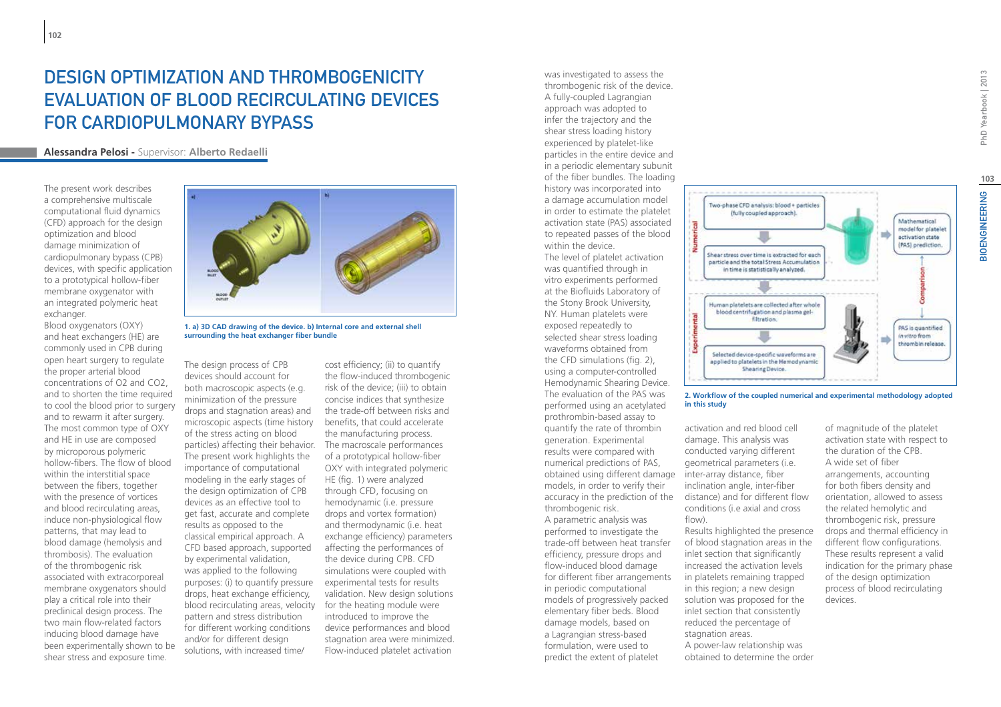# Design optimization and thrombogenicity evaluation of blood recirculating devices for cardiopulmonary bypass

### **Alessandra Pelosi -** Supervisor: **Alberto Redaelli**

The present work describes a comprehensive multiscale computational fluid dynamics (CFD) approach for the design optimization and blood damage minimization of cardiopulmonary bypass (CPB) devices, with specific application to a prototypical hollow-fiber membrane oxygenator with an integrated polymeric heat exchanger.

Blood oxygenators (OXY) and heat exchangers (HE) are commonly used in CPB during open heart surgery to regulate the proper arterial blood concentrations of O2 and CO2, and to shorten the time required to cool the blood prior to surgery and to rewarm it after surgery. The most common type of OXY and HE in use are composed by microporous polymeric hollow-fibers. The flow of blood within the interstitial space between the fibers, together with the presence of vortices and blood recirculating areas, induce non-physiological flow patterns, that may lead to blood damage (hemolysis and thrombosis). The evaluation of the thrombogenic risk associated with extracorporeal membrane oxygenators should play a critical role into their preclinical design process. The two main flow-related factors inducing blood damage have been experimentally shown to be shear stress and exposure time.



**1. a) 3D CAD drawing of the device. b) Internal core and external shell surrounding the heat exchanger fiber bundle**

The design process of CPB devices should account for both macroscopic aspects (e.g. minimization of the pressure drops and stagnation areas) and microscopic aspects (time history of the stress acting on blood particles) affecting their behavior. The macroscale performances The present work highlights the importance of computational modeling in the early stages of the design optimization of CPB devices as an effective tool to get fast, accurate and complete results as opposed to the classical empirical approach. A CFD based approach, supported by experimental validation, was applied to the following purposes: (i) to quantify pressure drops, heat exchange efficiency, blood recirculating areas, velocity for the heating module were pattern and stress distribution for different working conditions and/or for different design solutions, with increased time/

cost efficiency; (ii) to quantify the flow-induced thrombogenic risk of the device; (iii) to obtain concise indices that synthesize the trade-off between risks and benefits, that could accelerate the manufacturing process. of a prototypical hollow-fiber OXY with integrated polymeric HE (fig. 1) were analyzed through CFD, focusing on hemodynamic (i.e. pressure drops and vortex formation) and thermodynamic (i.e. heat exchange efficiency) parameters affecting the performances of the device during CPB. CFD simulations were coupled with experimental tests for results validation. New design solutions introduced to improve the device performances and blood stagnation area were minimized. Flow-induced platelet activation

was investigated to assess the thrombogenic risk of the device. A fully-coupled Lagrangian approach was adopted to infer the trajectory and the shear stress loading history experienced by platelet-like particles in the entire device and in a periodic elementary subunit of the fiber bundles. The loading history was incorporated into a damage accumulation model in order to estimate the platelet activation state (PAS) associated to repeated passes of the blood within the device.

The level of platelet activation was quantified through in vitro experiments performed at the Biofluids Laboratory of the Stony Brook University, NY. Human platelets were exposed repeatedly to selected shear stress loading waveforms obtained from the CFD simulations (fig. 2), using a computer-controlled Hemodynamic Shearing Device. The evaluation of the PAS was performed using an acetylated prothrombin-based assay to quantify the rate of thrombin generation. Experimental results were compared with numerical predictions of PAS, obtained using different damage models, in order to verify their accuracy in the prediction of the thrombogenic risk. A parametric analysis was performed to investigate the trade-off between heat transfer efficiency, pressure drops and flow-induced blood damage for different fiber arrangements in periodic computational models of progressively packed elementary fiber beds. Blood damage models, based on a Lagrangian stress-based formulation, were used to predict the extent of platelet



**2. Workflow of the coupled numerical and experimental methodology adopted in this study**

activation and red blood cell damage. This analysis was conducted varying different geometrical parameters (i.e. inter-array distance, fiber inclination angle, inter-fiber distance) and for different flow conditions (i.e axial and cross flow).

Results highlighted the presence of blood stagnation areas in the inlet section that significantly increased the activation levels in platelets remaining trapped in this region; a new design solution was proposed for the inlet section that consistently reduced the percentage of stagnation areas. A power-law relationship was obtained to determine the order

of magnitude of the platelet activation state with respect to the duration of the CPB. A wide set of fiber arrangements, accounting for both fibers density and orientation, allowed to assess the related hemolytic and thrombogenic risk, pressure drops and thermal efficiency in different flow configurations. These results represent a valid indication for the primary phase of the design optimization process of blood recirculating devices.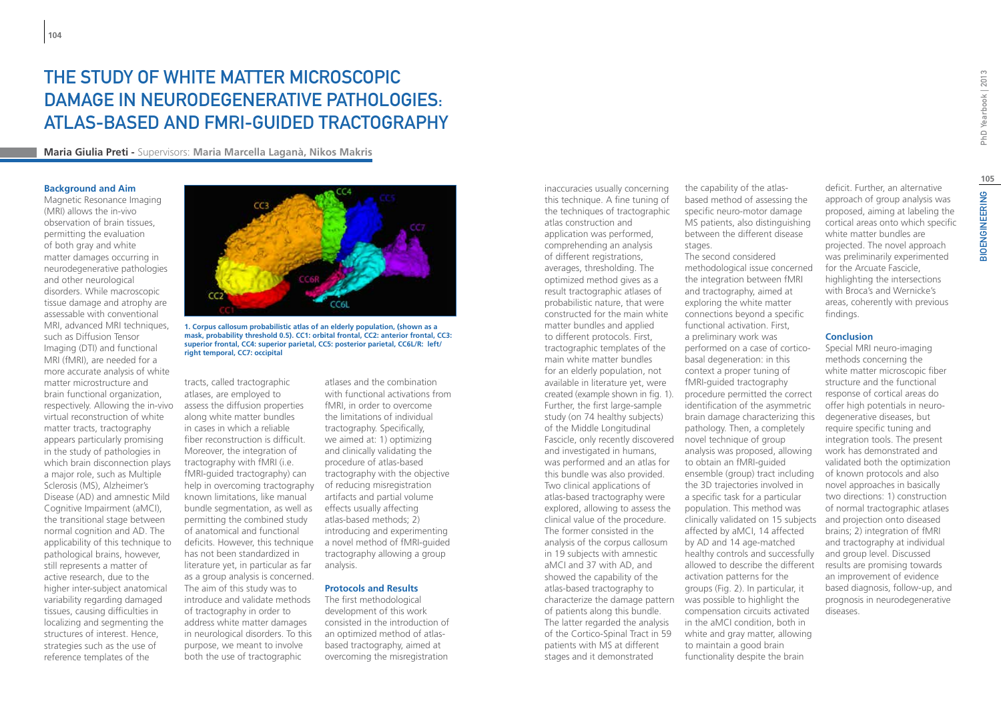## The Study of White Matter Microscopic Damage in Neurodegenerative Pathologies: Atlas-Based and fMRI-Guided Tractography

**Maria Giulia Preti -** Supervisors: **Maria Marcella Laganà, Nikos Makris**

#### **Background and Aim**

Magnetic Resonance Imaging (MRI) allows the in-vivo observation of brain tissues, permitting the evaluation of both gray and white matter damages occurring in neurodegenerative pathologies and other neurological disorders. While macroscopic tissue damage and atrophy are assessable with conventional MRI, advanced MRI techniques, such as Diffusion Tensor Imaging (DTI) and functional MRI (fMRI), are needed for a more accurate analysis of white matter microstructure and brain functional organization, respectively. Allowing the in-vivo virtual reconstruction of white matter tracts, tractography appears particularly promising in the study of pathologies in which brain disconnection plays a major role, such as Multiple Sclerosis (MS), Alzheimer's Disease (AD) and amnestic Mild Cognitive Impairment (aMCI), the transitional stage between normal cognition and AD. The applicability of this technique to pathological brains, however, still represents a matter of active research, due to the higher inter-subject anatomical variability regarding damaged tissues, causing difficulties in localizing and segmenting the structures of interest. Hence, strategies such as the use of reference templates of the



**1. Corpus callosum probabilistic atlas of an elderly population, (shown as a mask, probability threshold 0.5). CC1: orbital frontal, CC2: anterior frontal, CC3: superior frontal, CC4: superior parietal, CC5: posterior parietal, CC6L/R: left/ right temporal, CC7: occipital**

tracts, called tractographic atlases, are employed to assess the diffusion properties along white matter bundles in cases in which a reliable fiber reconstruction is difficult. Moreover, the integration of tractography with fMRI (i.e. fMRI-guided tractography) can help in overcoming tractography of reducing misregistration known limitations, like manual bundle segmentation, as well as permitting the combined study of anatomical and functional deficits. However, this technique a novel method of fMRI-guided has not been standardized in literature yet, in particular as far as a group analysis is concerned. The aim of this study was to introduce and validate methods of tractography in order to address white matter damages in neurological disorders. To this purpose, we meant to involve both the use of tractographic

atlases and the combination with functional activations from fMRI, in order to overcome the limitations of individual tractography. Specifically, we aimed at: 1) optimizing and clinically validating the procedure of atlas-based tractography with the objective artifacts and partial volume effects usually affecting atlas-based methods; 2) introducing and experimenting tractography allowing a group analysis.

### **Protocols and Results**

The first methodological development of this work consisted in the introduction of an optimized method of atlasbased tractography, aimed at overcoming the misregistration

inaccuracies usually concerning this technique. A fine tuning of the techniques of tractographic atlas construction and application was performed, comprehending an analysis of different registrations, averages, thresholding. The optimized method gives as a result tractographic atlases of probabilistic nature, that were constructed for the main white matter bundles and applied to different protocols. First, tractographic templates of the main white matter bundles for an elderly population, not available in literature yet, were created (example shown in fig. 1). Further, the first large-sample study (on 74 healthy subjects) of the Middle Longitudinal Fascicle, only recently discovered novel technique of group and investigated in humans, was performed and an atlas for this bundle was also provided. Two clinical applications of atlas-based tractography were explored, allowing to assess the clinical value of the procedure. The former consisted in the analysis of the corpus callosum in 19 subjects with amnestic aMCI and 37 with AD, and showed the capability of the atlas-based tractography to characterize the damage pattern was possible to highlight the of patients along this bundle. The latter regarded the analysis of the Cortico-Spinal Tract in 59 patients with MS at different stages and it demonstrated

the capability of the atlasbased method of assessing the specific neuro-motor damage MS patients, also distinguishing between the different disease stages.

The second considered methodological issue concerned the integration between fMRI and tractography, aimed at exploring the white matter connections beyond a specific functional activation. First, a preliminary work was performed on a case of corticobasal degeneration: in this context a proper tuning of fMRI-guided tractography procedure permitted the correct identification of the asymmetric brain damage characterizing this pathology. Then, a completely analysis was proposed, allowing to obtain an fMRI-guided ensemble (group) tract including the 3D trajectories involved in a specific task for a particular population. This method was clinically validated on 15 subjects affected by aMCI, 14 affected by AD and 14 age-matched healthy controls and successfully allowed to describe the different activation patterns for the groups (Fig. 2). In particular, it compensation circuits activated in the aMCI condition, both in white and gray matter, allowing to maintain a good brain functionality despite the brain

deficit. Further, an alternative approach of group analysis was proposed, aiming at labeling the cortical areas onto which specific white matter bundles are projected. The novel approach was preliminarily experimented for the Arcuate Fascicle, highlighting the intersections with Broca's and Wernicke's areas, coherently with previous findings.

#### **Conclusion**

Special MRI neuro-imaging methods concerning the white matter microscopic fiber structure and the functional response of cortical areas do offer high potentials in neurodegenerative diseases, but require specific tuning and integration tools. The present work has demonstrated and validated both the optimization of known protocols and also novel approaches in basically two directions: 1) construction of normal tractographic atlases and projection onto diseased brains; 2) integration of fMRI and tractography at individual and group level. Discussed results are promising towards an improvement of evidence based diagnosis, follow-up, and prognosis in neurodegenerative diseases.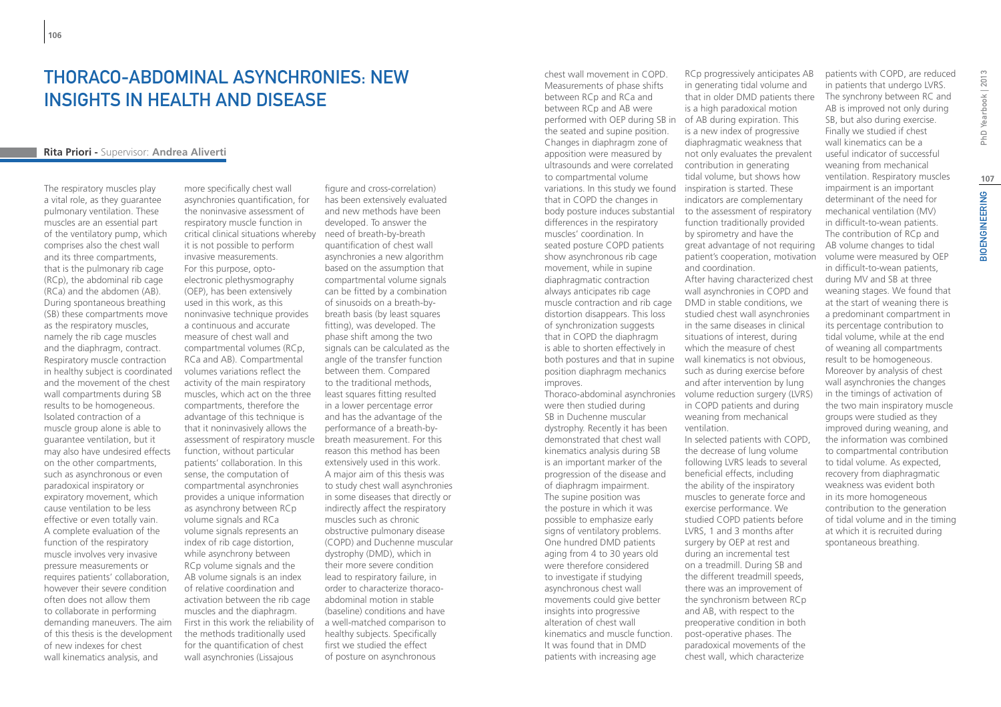## THORACO-ABDOMINAL ASYNCHRONIES: NEW INSIGHTS IN HEALTH AND DISEASE

#### **Rita Priori -** Supervisor: **Andrea Aliverti**

The respiratory muscles play a vital role, as they guarantee pulmonary ventilation. These muscles are an essential part of the ventilatory pump, which comprises also the chest wall and its three compartments, that is the pulmonary rib cage (RCp), the abdominal rib cage (RCa) and the abdomen (AB). During spontaneous breathing (SB) these compartments move as the respiratory muscles, namely the rib cage muscles and the diaphragm, contract. Respiratory muscle contraction in healthy subject is coordinated and the movement of the chest wall compartments during SB results to be homogeneous. Isolated contraction of a muscle group alone is able to guarantee ventilation, but it may also have undesired effects on the other compartments, such as asynchronous or even paradoxical inspiratory or expiratory movement, which cause ventilation to be less effective or even totally vain. A complete evaluation of the function of the respiratory muscle involves very invasive pressure measurements or requires patients' collaboration, however their severe condition often does not allow them to collaborate in performing demanding maneuvers. The aim of this thesis is the development of new indexes for chest wall kinematics analysis, and

more specifically chest wall asynchronies quantification, for the noninvasive assessment of respiratory muscle function in critical clinical situations whereby need of breath-by-breath it is not possible to perform invasive measurements. For this purpose, optoelectronic plethysmography (OEP), has been extensively used in this work, as this noninvasive technique provides a continuous and accurate measure of chest wall and compartmental volumes (RCp, RCa and AB). Compartmental volumes variations reflect the activity of the main respiratory muscles, which act on the three compartments, therefore the advantage of this technique is that it noninvasively allows the assessment of respiratory muscle function, without particular patients' collaboration. In this sense, the computation of compartmental asynchronies provides a unique information as asynchrony between RCp volume signals and RCa volume signals represents an index of rib cage distortion, while asynchrony between RCp volume signals and the AB volume signals is an index of relative coordination and activation between the rib cage muscles and the diaphragm. First in this work the reliability of the methods traditionally used for the quantification of chest wall asynchronies (Lissajous

figure and cross-correlation) has been extensively evaluated and new methods have been developed. To answer the quantification of chest wall asynchronies a new algorithm based on the assumption that compartmental volume signals can be fitted by a combination of sinusoids on a breath-bybreath basis (by least squares fitting), was developed. The phase shift among the two signals can be calculated as the angle of the transfer function between them. Compared to the traditional methods, least squares fitting resulted in a lower percentage error and has the advantage of the performance of a breath-bybreath measurement. For this reason this method has been extensively used in this work. A major aim of this thesis was to study chest wall asynchronies in some diseases that directly or indirectly affect the respiratory muscles such as chronic obstructive pulmonary disease (COPD) and Duchenne muscular dystrophy (DMD), which in their more severe condition lead to respiratory failure, in order to characterize thoracoabdominal motion in stable (baseline) conditions and have a well-matched comparison to healthy subjects. Specifically first we studied the effect of posture on asynchronous

chest wall movement in COPD. Measurements of phase shifts between RCp and RCa and between RCp and AB were performed with OEP during SB in of AB during expiration. This the seated and supine position. Changes in diaphragm zone of apposition were measured by ultrasounds and were correlated to compartmental volume variations. In this study we found that in COPD the changes in body posture induces substantial differences in the respiratory muscles' coordination. In seated posture COPD patients show asynchronous rib cage movement, while in supine diaphragmatic contraction always anticipates rib cage muscle contraction and rib cage distortion disappears. This loss of synchronization suggests that in COPD the diaphragm is able to shorten effectively in both postures and that in supine position diaphragm mechanics improves. Thoraco-abdominal asynchronies

were then studied during SB in Duchenne muscular dystrophy. Recently it has been demonstrated that chest wall kinematics analysis during SB is an important marker of the progression of the disease and of diaphragm impairment. The supine position was the posture in which it was possible to emphasize early signs of ventilatory problems. One hundred DMD patients aging from 4 to 30 years old were therefore considered to investigate if studying asynchronous chest wall movements could give better insights into progressive alteration of chest wall kinematics and muscle function. It was found that in DMD patients with increasing age

RCp progressively anticipates AB in generating tidal volume and that in older DMD patients there is a high paradoxical motion is a new index of progressive diaphragmatic weakness that not only evaluates the prevalent contribution in generating tidal volume, but shows how inspiration is started. These indicators are complementary to the assessment of respiratory function traditionally provided by spirometry and have the great advantage of not requiring patient's cooperation, motivation and coordination.

After having characterized chest wall asynchronies in COPD and DMD in stable conditions, we studied chest wall asynchronies in the same diseases in clinical situations of interest, during which the measure of chest wall kinematics is not obvious, such as during exercise before and after intervention by lung volume reduction surgery (LVRS) in COPD patients and during weaning from mechanical ventilation. In selected patients with COPD,

the decrease of lung volume following LVRS leads to several beneficial effects, including the ability of the inspiratory muscles to generate force and exercise performance. We studied COPD patients before LVRS, 1 and 3 months after surgery by OEP at rest and during an incremental test on a treadmill. During SB and the different treadmill speeds, there was an improvement of the synchronism between RCp and AB, with respect to the preoperative condition in both post-operative phases. The paradoxical movements of the chest wall, which characterize

BIOENGINEERING PhD Yearbook | 2013 The synchrony between RC and AB is improved not only during ventilation. Respiratory muscles **107BIOENGINEERING** volume were measured by OEP

spontaneous breathing.

patients with COPD, are reduced in patients that undergo LVRS.

SB, but also during exercise. Finally we studied if chest wall kinematics can be a useful indicator of successful weaning from mechanical

impairment is an important determinant of the need for mechanical ventilation (MV) in difficult-to-wean patients. The contribution of RCp and AB volume changes to tidal

in difficult-to-wean patients, during MV and SB at three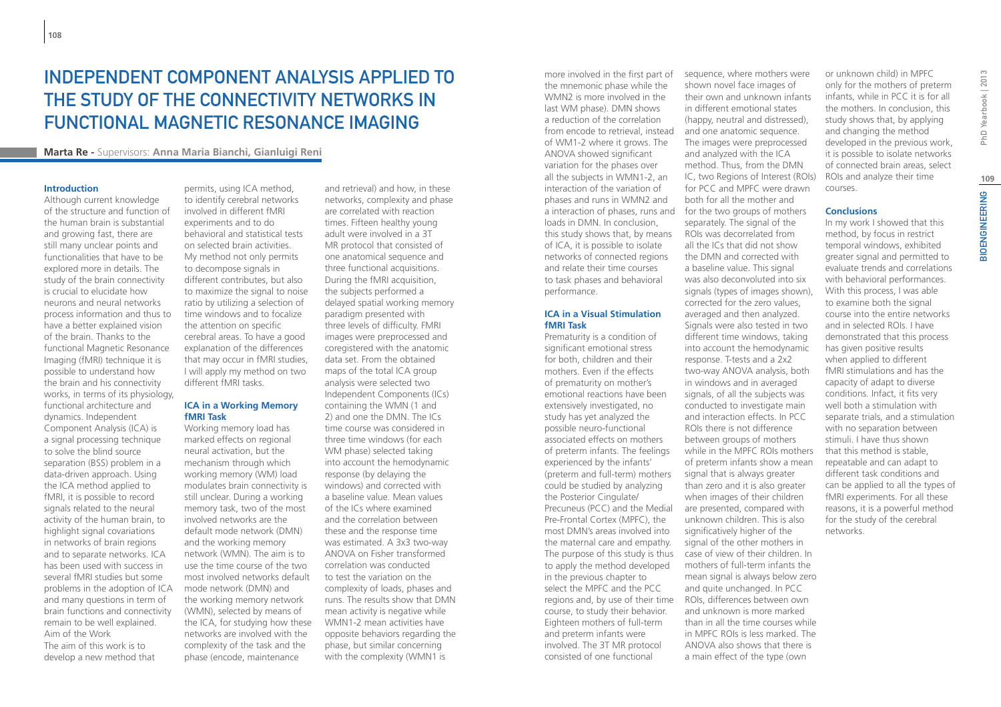## Independent Component Analysis Applied To The Study Of The Connectivity Networks In Functional Magnetic Resonance Imaging

**Marta Re -** Supervisors: **Anna Maria Bianchi, Gianluigi Reni**

#### **Introduction**

Although current knowledge of the structure and function of the human brain is substantial and growing fast, there are still many unclear points and functionalities that have to be explored more in details. The study of the brain connectivity is crucial to elucidate how neurons and neural networks process information and thus to have a better explained vision of the brain. Thanks to the functional Magnetic Resonance Imaging (fMRI) technique it is possible to understand how the brain and his connectivity works, in terms of its physiology, functional architecture and dynamics. Independent Component Analysis (ICA) is a signal processing technique to solve the blind source separation (BSS) problem in a data-driven approach. Using the ICA method applied to fMRI, it is possible to record signals related to the neural activity of the human brain, to highlight signal covariations in networks of brain regions and to separate networks. ICA has been used with success in several fMRI studies but some problems in the adoption of ICA and many questions in term of brain functions and connectivity remain to be well explained. Aim of the Work The aim of this work is to develop a new method that

permits, using ICA method, to identify cerebral networks involved in different fMRI experiments and to do behavioral and statistical tests on selected brain activities. My method not only permits to decompose signals in different contributes, but also to maximize the signal to noise ratio by utilizing a selection of time windows and to focalize the attention on specific cerebral areas. To have a good explanation of the differences that may occur in fMRI studies, I will apply my method on two different fMRI tasks.

#### **ICA in a Working Memory fMRI Task**

Working memory load has marked effects on regional neural activation, but the mechanism through which working memory (WM) load modulates brain connectivity is still unclear. During a working memory task, two of the most involved networks are the default mode network (DMN) and the working memory network (WMN). The aim is to use the time course of the two most involved networks default mode network (DMN) and the working memory network (WMN), selected by means of the ICA, for studying how these networks are involved with the complexity of the task and the phase (encode, maintenance

and retrieval) and how, in these networks, complexity and phase are correlated with reaction times. Fifteen healthy young adult were involved in a 3T MR protocol that consisted of one anatomical sequence and three functional acquisitions. During the fMRI acquisition, the subjects performed a delayed spatial working memory paradigm presented with three levels of difficulty. FMRI images were preprocessed and coregistered with the anatomic data set. From the obtained maps of the total ICA group analysis were selected two Independent Components (ICs) containing the WMN (1 and 2) and one the DMN. The ICs time course was considered in three time windows (for each WM phase) selected taking into account the hemodynamic response (by delaying the windows) and corrected with a baseline value. Mean values of the ICs where examined and the correlation between these and the response time was estimated. A 3x3 two-way ANOVA on Fisher transformed correlation was conducted to test the variation on the complexity of loads, phases and runs. The results show that DMN mean activity is negative while WMN1-2 mean activities have opposite behaviors regarding the phase, but similar concerning with the complexity (WMN1 is

more involved in the first part of the mnemonic phase while the WMN2 is more involved in the last WM phase). DMN shows a reduction of the correlation from encode to retrieval, instead of WM1-2 where it grows. The ANOVA showed significant variation for the phases over all the subjects in WMN1-2, an interaction of the variation of phases and runs in WMN2 and loads in DMN. In conclusion, this study shows that, by means of ICA, it is possible to isolate networks of connected regions and relate their time courses to task phases and behavioral performance.

#### **ICA in a Visual Stimulation fMRI Task**

Prematurity is a condition of significant emotional stress for both, children and their mothers. Even if the effects of prematurity on mother's emotional reactions have been extensively investigated, no study has yet analyzed the possible neuro-functional associated effects on mothers of preterm infants. The feelings experienced by the infants' (preterm and full-term) mothers could be studied by analyzing the Posterior Cingulate/ Precuneus (PCC) and the Medial Pre-Frontal Cortex (MPFC), the most DMN's areas involved into the maternal care and empathy. The purpose of this study is thus to apply the method developed in the previous chapter to select the MPFC and the PCC regions and, by use of their time ROIs, differences between own course, to study their behavior. Eighteen mothers of full-term and preterm infants were involved. The 3T MR protocol consisted of one functional

a interaction of phases, runs and for the two groups of mothers sequence, where mothers were shown novel face images of their own and unknown infants in different emotional states (happy, neutral and distressed), and one anatomic sequence. The images were preprocessed and analyzed with the ICA method. Thus, from the DMN IC, two Regions of Interest (ROIs) for PCC and MPFC were drawn both for all the mother and separately. The signal of the ROIs was decorrelated from all the ICs that did not show the DMN and corrected with a baseline value. This signal was also deconvoluted into six signals (types of images shown), corrected for the zero values, averaged and then analyzed. Signals were also tested in two different time windows, taking into account the hemodynamic response. T-tests and a 2x2 two-way ANOVA analysis, both in windows and in averaged signals, of all the subjects was conducted to investigate main and interaction effects. In PCC ROIs there is not difference between groups of mothers while in the MPFC ROIs mothers of preterm infants show a mean signal that is always greater than zero and it is also greater when images of their children are presented, compared with unknown children. This is also significatively higher of the signal of the other mothers in case of view of their children. In mothers of full-term infants the mean signal is always below zero and quite unchanged. In PCC

> and unknown is more marked than in all the time courses while in MPFC ROIs is less marked. The ANOVA also shows that there is a main effect of the type (own

or unknown child) in MPFC only for the mothers of preterm infants, while in PCC it is for all the mothers. In conclusion, this study shows that, by applying and changing the method developed in the previous work, it is possible to isolate networks of connected brain areas, select ROIs and analyze their time courses.

#### **Conclusions**

In my work I showed that this method, by focus in restrict temporal windows, exhibited greater signal and permitted to evaluate trends and correlations with behavioral performances. With this process, I was able to examine both the signal course into the entire networks and in selected ROIs. I have demonstrated that this process has given positive results when applied to different fMRI stimulations and has the capacity of adapt to diverse conditions. Infact, it fits very well both a stimulation with separate trials, and a stimulation with no separation between stimuli. I have thus shown that this method is stable, repeatable and can adapt to different task conditions and can be applied to all the types of fMRI experiments. For all these reasons, it is a powerful method for the study of the cerebral networks.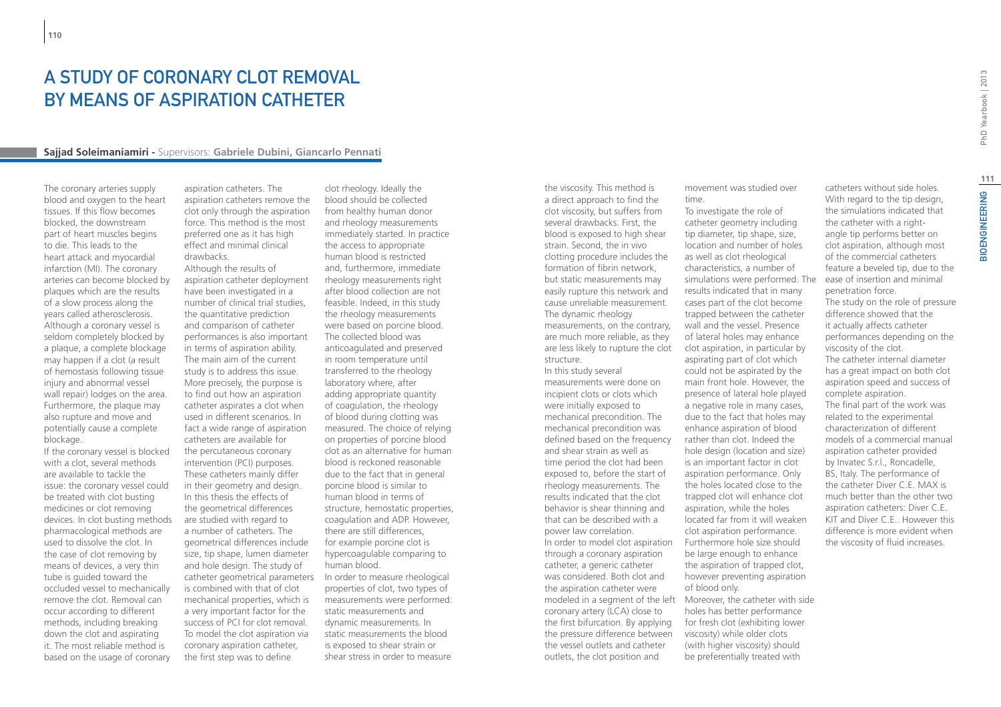### A study of coronary clot removal BY MEANS OF ASPIRATION CATHETER

#### **Sajjad Soleimaniamiri -** Supervisors: **Gabriele Dubini, Giancarlo Pennati**

The coronary arteries supply blood and oxygen to the heart tissues. If this flow becomes blocked, the downstream part of heart muscles begins to die. This leads to the heart attack and myocardial infarction (MI). The coronary arteries can become blocked by plaques which are the results of a slow process along the years called atherosclerosis. Although a coronary vessel is seldom completely blocked by a plaque, a complete blockage may happen if a clot (a result of hemostasis following tissue injury and abnormal vessel wall repair) lodges on the area. Furthermore, the plaque may also rupture and move and potentially cause a complete blockage.

If the coronary vessel is blocked with a clot, several methods are available to tackle the issue: the coronary vessel could be treated with clot busting medicines or clot removing devices. In clot busting methods pharmacological methods are used to dissolve the clot. In the case of clot removing by means of devices, a very thin tube is guided toward the occluded vessel to mechanically remove the clot. Removal can occur according to different methods, including breaking down the clot and aspirating it. The most reliable method is based on the usage of coronary

aspiration catheters. The aspiration catheters remove the clot only through the aspiration force. This method is the most preferred one as it has high effect and minimal clinical drawbacks. Although the results of aspiration catheter deployment

have been investigated in a number of clinical trial studies, the quantitative prediction and comparison of catheter performances is also important in terms of aspiration ability. The main aim of the current study is to address this issue. More precisely, the purpose is to find out how an aspiration catheter aspirates a clot when used in different scenarios. In fact a wide range of aspiration catheters are available for the percutaneous coronary intervention (PCI) purposes. These catheters mainly differ in their geometry and design. In this thesis the effects of the geometrical differences are studied with regard to a number of catheters. The geometrical differences include size, tip shape, lumen diameter and hole design. The study of catheter geometrical parameters is combined with that of clot mechanical properties, which is a very important factor for the success of PCI for clot removal. To model the clot aspiration via coronary aspiration catheter, the first step was to define

clot rheology. Ideally the blood should be collected from healthy human donor and rheology measurements immediately started. In practice the access to appropriate human blood is restricted and, furthermore, immediate rheology measurements right after blood collection are not feasible. Indeed, in this study the rheology measurements were based on porcine blood. The collected blood was anticoagulated and preserved in room temperature until transferred to the rheology laboratory where, after adding appropriate quantity of coagulation, the rheology of blood during clotting was measured. The choice of relying on properties of porcine blood clot as an alternative for human blood is reckoned reasonable due to the fact that in general porcine blood is similar to human blood in terms of structure, hemostatic properties, coagulation and ADP. However, there are still differences, for example porcine clot is hypercoagulable comparing to human blood. In order to measure rheological properties of clot, two types of measurements were performed: static measurements and dynamic measurements. In static measurements the blood is exposed to shear strain or shear stress in order to measure

the viscosity. This method is a direct approach to find the clot viscosity, but suffers from several drawbacks. First, the blood is exposed to high shear strain. Second, the in vivo clotting procedure includes the formation of fibrin network, but static measurements may easily rupture this network and cause unreliable measurement. The dynamic rheology measurements, on the contrary, are much more reliable, as they are less likely to rupture the clot structure. In this study several

measurements were done on incipient clots or clots which were initially exposed to mechanical precondition. The mechanical precondition was defined based on the frequency and shear strain as well as time period the clot had been exposed to, before the start of rheology measurements. The results indicated that the clot behavior is shear thinning and that can be described with a power law correlation. In order to model clot aspiration through a coronary aspiration catheter, a generic catheter was considered. Both clot and the aspiration catheter were coronary artery (LCA) close to the first bifurcation. By applying the pressure difference between the vessel outlets and catheter outlets, the clot position and

movement was studied over time.

modeled in a segment of the left Moreover, the catheter with side To investigate the role of catheter geometry including tip diameter, tip shape, size, location and number of holes as well as clot rheological characteristics, a number of simulations were performed. The ease of insertion and minimal results indicated that in many cases part of the clot become trapped between the catheter wall and the vessel. Presence of lateral holes may enhance clot aspiration, in particular by aspirating part of clot which could not be aspirated by the main front hole. However, the presence of lateral hole played a negative role in many cases, due to the fact that holes may enhance aspiration of blood rather than clot. Indeed the hole design (location and size) is an important factor in clot aspiration performance. Only the holes located close to the trapped clot will enhance clot aspiration, while the holes located far from it will weaken clot aspiration performance. Furthermore hole size should be large enough to enhance the aspiration of trapped clot, however preventing aspiration of blood only. holes has better performance for fresh clot (exhibiting lower viscosity) while older clots (with higher viscosity) should be preferentially treated with

catheters without side holes. With regard to the tip design. the simulations indicated that the catheter with a rightangle tip performs better on clot aspiration, although most of the commercial catheters feature a beveled tip, due to the penetration force.

The study on the role of pressure difference showed that the it actually affects catheter performances depending on the viscosity of the clot. The catheter internal diameter has a great impact on both clot aspiration speed and success of complete aspiration. The final part of the work was related to the experimental characterization of different models of a commercial manual aspiration catheter provided by Invatec S.r.l., Roncadelle, BS, Italy. The performance of the catheter Diver C.E. MAX is much better than the other two aspiration catheters: Diver C.E. KIT and Diver C.E.. However this difference is more evident when the viscosity of fluid increases.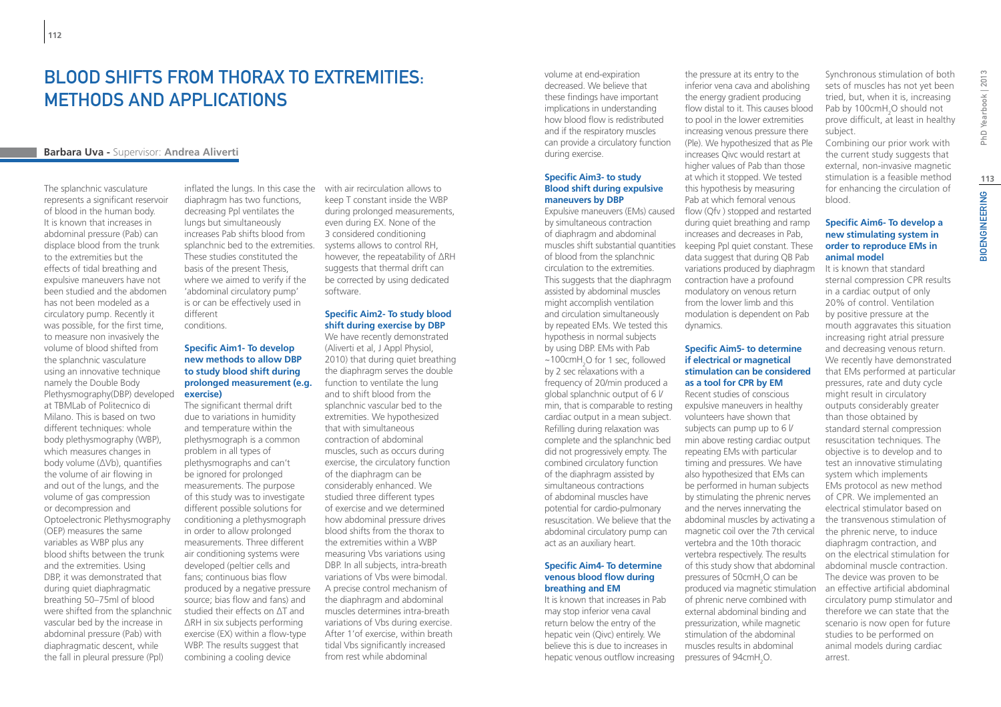## BI OOD SHIFTS FROM THORAX TO EXTREMITIES. methods and applications

### **Barbara Uva -** Supervisor: **Andrea Aliverti**

The splanchnic vasculature represents a significant reservoir of blood in the human body. It is known that increases in abdominal pressure (Pab) can displace blood from the trunk to the extremities but the effects of tidal breathing and expulsive maneuvers have not been studied and the abdomen has not been modeled as a circulatory pump. Recently it was possible, for the first time, to measure non invasively the volume of blood shifted from the splanchnic vasculature using an innovative technique namely the Double Body Plethysmography(DBP) developed at TBMLab of Politecnico di Milano. This is based on two different techniques: whole body plethysmography (WBP), which measures changes in body volume (ΔVb), quantifies the volume of air flowing in and out of the lungs, and the volume of gas compression or decompression and Optoelectronic Plethysmography (OEP) measures the same variables as WBP plus any blood shifts between the trunk and the extremities. Using DBP, it was demonstrated that during quiet diaphragmatic breathing 50–75ml of blood were shifted from the splanchnic vascular bed by the increase in abdominal pressure (Pab) with diaphragmatic descent, while the fall in pleural pressure (Ppl)

diaphragm has two functions, decreasing Ppl ventilates the lungs but simultaneously increases Pab shifts blood from splanchnic bed to the extremities. These studies constituted the basis of the present Thesis, where we aimed to verify if the 'abdominal circulatory pump' is or can be effectively used in different conditions.

#### **Specific Aim1- To develop new methods to allow DBP to study blood shift during prolonged measurement (e.g. exercise)**

The significant thermal drift due to variations in humidity and temperature within the plethysmograph is a common problem in all types of plethysmographs and can't be ignored for prolonged measurements. The purpose of this study was to investigate different possible solutions for conditioning a plethysmograph in order to allow prolonged measurements. Three different air conditioning systems were developed (peltier cells and fans; continuous bias flow produced by a negative pressure source; bias flow and fans) and studied their effects on ΔT and ΔRH in six subjects performing exercise (EX) within a flow-type WBP. The results suggest that combining a cooling device

inflated the lungs. In this case the with air recirculation allows to keep T constant inside the WBP during prolonged measurements, even during EX. None of the 3 considered conditioning systems allows to control RH, however, the repeatability of ΔRH suggests that thermal drift can be corrected by using dedicated software.

#### **Specific Aim2- To study blood shift during exercise by DBP**

We have recently demonstrated (Aliverti et al, J Appl Physiol, 2010) that during quiet breathing the diaphragm serves the double function to ventilate the lung and to shift blood from the splanchnic vascular bed to the extremities. We hypothesized that with simultaneous contraction of abdominal muscles, such as occurs during exercise, the circulatory function of the diaphragm can be considerably enhanced. We studied three different types of exercise and we determined how abdominal pressure drives blood shifts from the thorax to the extremities within a WBP measuring Vbs variations using DBP. In all subjects, intra-breath variations of Vbs were bimodal. A precise control mechanism of the diaphragm and abdominal muscles determines intra-breath variations of Vbs during exercise. After 1'of exercise, within breath tidal Vbs significantly increased from rest while abdominal

volume at end-expiration decreased. We believe that these findings have important implications in understanding how blood flow is redistributed and if the respiratory muscles can provide a circulatory function during exercise.

#### **Specific Aim3- to study Blood shift during expulsive maneuvers by DBP**

by simultaneous contraction of diaphragm and abdominal of blood from the splanchnic circulation to the extremities. This suggests that the diaphragm assisted by abdominal muscles might accomplish ventilation and circulation simultaneously by repeated EMs. We tested this hypothesis in normal subjects by using DBP. EMs with Pab  $\sim$ 100cmH<sub>2</sub>O for 1 sec, followed by 2 sec relaxations with a frequency of 20/min produced a global splanchnic output of 6 l/ min, that is comparable to resting cardiac output in a mean subject. Refilling during relaxation was complete and the splanchnic bed did not progressively empty. The combined circulatory function of the diaphragm assisted by simultaneous contractions of abdominal muscles have potential for cardio-pulmonary resuscitation. We believe that the abdominal circulatory pump can act as an auxiliary heart.

#### **Specific Aim4- To determine venous blood flow during breathing and EM**

It is known that increases in Pab may stop inferior vena caval return below the entry of the hepatic vein (Qivc) entirely. We believe this is due to increases in hepatic venous outflow increasing

Expulsive maneuvers (EMs) caused flow (Qfv ) stopped and restarted muscles shift substantial quantities keeping Ppl quiet constant. These the pressure at its entry to the inferior vena cava and abolishing the energy gradient producing flow distal to it. This causes blood to pool in the lower extremities increasing venous pressure there (Ple). We hypothesized that as Ple increases Qivc would restart at higher values of Pab than those at which it stopped. We tested this hypothesis by measuring Pab at which femoral venous during quiet breathing and ramp increases and decreases in Pab, data suggest that during QB Pab variations produced by diaphragm contraction have a profound modulatory on venous return from the lower limb and this modulation is dependent on Pab dynamics.

#### **Specific Aim5- to determine if electrical or magnetical stimulation can be considered as a tool for CPR by EM**

Recent studies of conscious expulsive maneuvers in healthy volunteers have shown that subjects can pump up to 6 l/ min above resting cardiac output repeating EMs with particular timing and pressures. We have also hypothesized that EMs can be performed in human subjects by stimulating the phrenic nerves and the nerves innervating the abdominal muscles by activating a magnetic coil over the 7th cervical vertebra and the 10th thoracic vertebra respectively. The results of this study show that abdominal pressures of  $50 \text{cm} H$ <sub>2</sub>O can be produced via magnetic stimulation of phrenic nerve combined with external abdominal binding and pressurization, while magnetic stimulation of the abdominal muscles results in abdominal pressures of  $94$ cm $H_2O$ .

Synchronous stimulation of both sets of muscles has not yet been tried, but, when it is, increasing Pab by  $100 \text{cm} + 0.01$  should not prove difficult, at least in healthy subject.

Combining our prior work with the current study suggests that external, non-invasive magnetic stimulation is a feasible method for enhancing the circulation of blood.

#### **Specific Aim6- To develop a new stimulating system in order to reproduce EMs in animal model**

It is known that standard sternal compression CPR results in a cardiac output of only 20% of control. Ventilation by positive pressure at the mouth aggravates this situation increasing right atrial pressure and decreasing venous return. We recently have demonstrated that EMs performed at particular pressures, rate and duty cycle might result in circulatory outputs considerably greater than those obtained by standard sternal compression resuscitation techniques. The objective is to develop and to test an innovative stimulating system which implements EMs protocol as new method of CPR. We implemented an electrical stimulator based on the transvenous stimulation of the phrenic nerve, to induce diaphragm contraction, and on the electrical stimulation for abdominal muscle contraction. The device was proven to be an effective artificial abdominal circulatory pump stimulator and therefore we can state that the scenario is now open for future studies to be performed on animal models during cardiac arrest.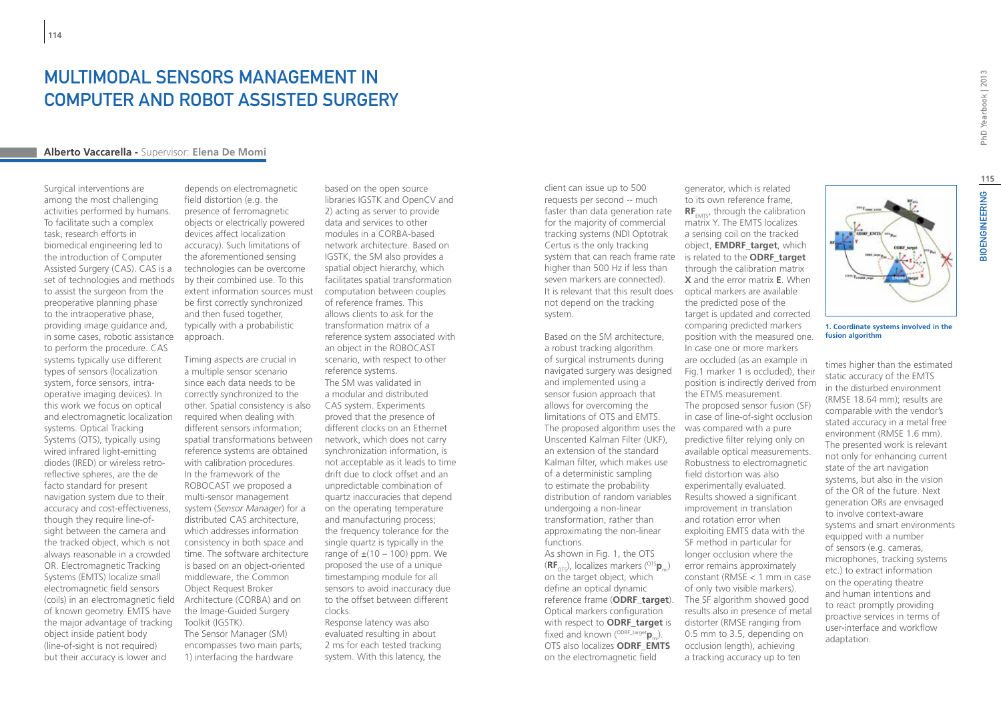### Multimodal sensors management in Computer and Robot Assisted Surgery

#### **Alberto Vaccarella -** Supervisor: **Elena De Momi**

Surgical interventions are among the most challenging activities performed by humans. To facilitate such a complex task, research efforts in biomedical engineering led to the introduction of Computer Assisted Surgery (CAS). CAS is a set of technologies and methods to assist the surgeon from the preoperative planning phase to the intraoperative phase, providing image guidance and, in some cases, robotic assistance to perform the procedure. CAS systems typically use different types of sensors (localization system, force sensors, intraoperative imaging devices). In this work we focus on optical and electromagnetic localization systems. Optical Tracking Systems (OTS), typically using wired infrared light-emitting diodes (IRED) or wireless retroreflective spheres, are the de facto standard for present navigation system due to their accuracy and cost-effectiveness, though they require line-ofsight between the camera and the tracked object, which is not always reasonable in a crowded OR. Electromagnetic Tracking Systems (EMTS) localize small electromagnetic field sensors (coils) in an electromagnetic field of known geometry. EMTS have the major advantage of tracking object inside patient body (line-of-sight is not required) but their accuracy is lower and

depends on electromagnetic field distortion (e.g. the presence of ferromagnetic objects or electrically powered devices affect localization accuracy). Such limitations of the aforementioned sensing technologies can be overcome by their combined use. To this extent information sources must be first correctly synchronized and then fused together, typically with a probabilistic approach.

Timing aspects are crucial in a multiple sensor scenario since each data needs to be correctly synchronized to the other. Spatial consistency is also required when dealing with different sensors information; spatial transformations between reference systems are obtained with calibration procedures. In the framework of the ROBOCAST we proposed a multi-sensor management system (*Sensor Manager*) for a distributed CAS architecture, which addresses information consistency in both space and time. The software architecture is based on an object-oriented middleware, the Common Object Request Broker Architecture (CORBA) and on the Image-Guided Surgery Toolkit (IGSTK).

The Sensor Manager (SM) encompasses two main parts; 1) interfacing the hardware

based on the open source libraries IGSTK and OpenCV and 2) acting as server to provide data and services to other modules in a CORBA-based network architecture. Based on IGSTK, the SM also provides a spatial object hierarchy, which facilitates spatial transformation computation between couples of reference frames. This allows clients to ask for the transformation matrix of a reference system associated with an object in the ROBOCAST scenario, with respect to other reference systems. The SM was validated in a modular and distributed CAS system. Experiments proved that the presence of different clocks on an Ethernet network, which does not carry synchronization information, is not acceptable as it leads to time drift due to clock offset and an unpredictable combination of quartz inaccuracies that depend on the operating temperature and manufacturing process; the frequency tolerance for the single quartz is typically in the range of  $\pm(10 - 100)$  ppm. We proposed the use of a unique timestamping module for all sensors to avoid inaccuracy due to the offset between different clocks.

Response latency was also evaluated resulting in about 2 ms for each tested tracking system. With this latency, the

client can issue up to 500 requests per second -- much faster than data generation rate for the majority of commercial tracking systems (NDI Optotrak Certus is the only tracking system that can reach frame rate is related to the **ODRF\_target** higher than 500 Hz if less than seven markers are connected). It is relevant that this result does not depend on the tracking system.

Based on the SM architecture, a robust tracking algorithm of surgical instruments during navigated surgery was designed and implemented using a sensor fusion approach that allows for overcoming the limitations of OTS and EMTS. The proposed algorithm uses the was compared with a pure Unscented Kalman Filter (UKF), an extension of the standard Kalman filter, which makes use of a deterministic sampling to estimate the probability distribution of random variables undergoing a non-linear transformation, rather than approximating the non-linear functions.

As shown in Fig. 1, the OTS (**RF**<sub>OTS</sub>), localizes markers (<sup>OTS</sup>**p**<sub>m</sub>) on the target object, which define an optical dynamic Optical markers configuration with respect to **ODRF** target is fixed and known (<sup>ODRF\_target</sup>**p**<sub>mi</sub>). OTS also localizes **ODRF\_EMTS** on the electromagnetic field

reference frame (**ODRF\_target**). The SF algorithm showed good to its own reference frame, **RF**<sub>EMTS</sub>, through the calibration matrix Y. The EMTS localizes a sensing coil on the tracked object, **EMDRF\_target**, which through the calibration matrix **X** and the error matrix **E**. When optical markers are available the predicted pose of the target is updated and corrected comparing predicted markers position with the measured one. In case one or more markers are occluded (as an example in Fig.1 marker 1 is occluded), their position is indirectly derived from the ETMS measurement. The proposed sensor fusion (SF) in case of line-of-sight occlusion predictive filter relying only on available optical measurements. Robustness to electromagnetic field distortion was also experimentally evaluated. Results showed a significant improvement in translation and rotation error when exploiting EMTS data with the SF method in particular for longer occlusion where the error remains approximately constant (RMSE < 1 mm in case of only two visible markers). results also in presence of metal distorter (RMSE ranging from 0.5 mm to 3.5, depending on occlusion length), achieving

a tracking accuracy up to ten

generator, which is related

**1. Coordinate systems involved in the fusion algorithm**

times higher than the estimated static accuracy of the EMTS in the disturbed environment (RMSE 18.64 mm); results are comparable with the vendor's stated accuracy in a metal free environment (RMSE 1.6 mm). The presented work is relevant not only for enhancing current state of the art navigation systems, but also in the vision of the OR of the future. Next generation ORs are envisaged to involve context-aware systems and smart environments equipped with a number of sensors (e.g. cameras, microphones, tracking systems etc.) to extract information on the operating theatre and human intentions and to react promptly providing proactive services in terms of user-interface and workflow adaptation.